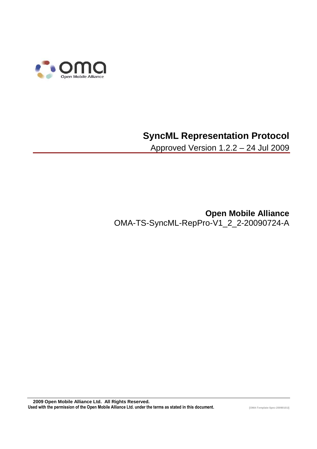

# **SyncML Representation Protocol**

Approved Version 1.2.2 – 24 Jul 2009

**Open Mobile Alliance** OMA-TS-SyncML-RepPro-V1\_2\_2-20090724-A

 **2009 Open Mobile Alliance Ltd. All Rights Reserved.** Used with the permission of the Open Mobile Alliance Ltd. under the terms as stated in this document.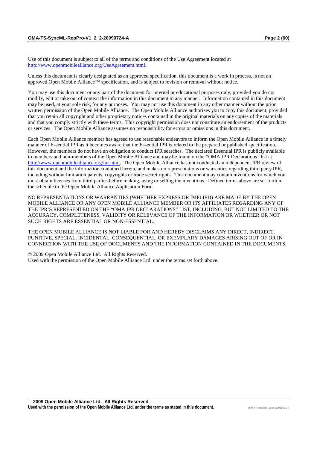Use of this document is subject to all of the terms and conditions of the Use Agreement located at http://www.openmobilealliance.org/UseAgreement.html.

Unless this document is clearly designated as an approved specification, this document is a work in process, is not an approved Open Mobile Alliance™ specification, and is subject to revision or removal without notice.

You may use this document or any part of the document for internal or educational purposes only, provided you do not modify, edit or take out of context the information in this document in any manner. Information contained in this document may be used, at your sole risk, for any purposes. You may not use this document in any other manner without the prior written permission of the Open Mobile Alliance. The Open Mobile Alliance authorizes you to copy this document, provided that you retain all copyright and other proprietary notices contained in the original materials on any copies of the materials and that you comply strictly with these terms. This copyright permission does not constitute an endorsement of the products or services. The Open Mobile Alliance assumes no responsibility for errors or omissions in this document.

Each Open Mobile Alliance member has agreed to use reasonable endeavors to inform the Open Mobile Alliance in a timely manner of Essential IPR as it becomes aware that the Essential IPR is related to the prepared or published specification. However, the members do not have an obligation to conduct IPR searches. The declared Essential IPR is publicly available to members and non-members of the Open Mobile Alliance and may be found on the "OMA IPR Declarations" list at http://www.openmobilealliance.org/ipr.html. The Open Mobile Alliance has not conducted an independent IPR review of this document and the information contained herein, and makes no representations or warranties regarding third party IPR, including without limitation patents, copyrights or trade secret rights. This document may contain inventions for which you must obtain licenses from third parties before making, using or selling the inventions. Defined terms above are set forth in the schedule to the Open Mobile Alliance Application Form.

NO REPRESENTATIONS OR WARRANTIES (WHETHER EXPRESS OR IMPLIED) ARE MADE BY THE OPEN MOBILE ALLIANCE OR ANY OPEN MOBILE ALLIANCE MEMBER OR ITS AFFILIATES REGARDING ANY OF THE IPR'S REPRESENTED ON THE "OMA IPR DECLARATIONS" LIST, INCLUDING, BUT NOT LIMITED TO THE ACCURACY, COMPLETENESS, VALIDITY OR RELEVANCE OF THE INFORMATION OR WHETHER OR NOT SUCH RIGHTS ARE ESSENTIAL OR NON-ESSENTIAL.

THE OPEN MOBILE ALLIANCE IS NOT LIABLE FOR AND HEREBY DISCLAIMS ANY DIRECT, INDIRECT, PUNITIVE, SPECIAL, INCIDENTAL, CONSEQUENTIAL, OR EXEMPLARY DAMAGES ARISING OUT OF OR IN CONNECTION WITH THE USE OF DOCUMENTS AND THE INFORMATION CONTAINED IN THE DOCUMENTS.

© 2009 Open Mobile Alliance Ltd. All Rights Reserved. Used with the permission of the Open Mobile Alliance Ltd. under the terms set forth above.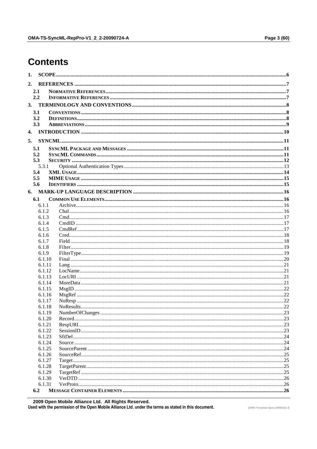# **Contents**

| 1. |                  |  |
|----|------------------|--|
| 2. |                  |  |
|    | 2.1              |  |
|    | 2.2              |  |
|    |                  |  |
|    |                  |  |
|    | 3.1              |  |
|    | 3.2<br>3.3       |  |
|    |                  |  |
| 4. |                  |  |
| 5. |                  |  |
|    | 5.1              |  |
|    | 5.2              |  |
|    | 5.3              |  |
|    | 5.3.1            |  |
|    | 5.4              |  |
|    | 5.5              |  |
|    | 5.6              |  |
|    |                  |  |
|    | 6.1              |  |
|    | 6.1.1            |  |
|    | 6.1.2            |  |
|    | 6.1.3            |  |
|    | 6.1.4            |  |
|    | 6.1.5            |  |
|    | 6.1.6            |  |
|    | 6.1.7            |  |
|    | 6.1.8            |  |
|    | 6.1.9            |  |
|    | 6.1.10           |  |
|    | 6.1.11           |  |
|    | 6.1.12           |  |
|    | 6.1.13           |  |
|    | 6.1.14<br>6.1.15 |  |
|    | 6.1.16           |  |
|    | 6.1.17           |  |
|    | 6.1.18           |  |
|    | 6.1.19           |  |
|    | 6.1.20           |  |
|    | 6.1.21           |  |
|    | 6.1.22           |  |
|    | 6.1.23           |  |
|    | 6.1.24           |  |
|    | 6.1.25           |  |
|    | 6.1.26           |  |
|    | 6.1.27           |  |
|    | 6.1.28           |  |
|    | 6.1.29           |  |
|    | 6.1.30           |  |
|    | 6.1.31           |  |
|    | 6.2              |  |

© 2009 Open Mobile Alliance Ltd. All Rights Reserved.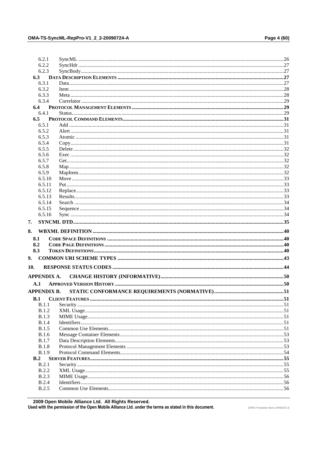| 6.2.2              |  |
|--------------------|--|
| 6.2.3              |  |
| 6.3                |  |
| 6.3.1              |  |
| 6.3.2              |  |
| 6.3.3              |  |
| 6.3.4              |  |
| 6.4                |  |
| 6.4.1              |  |
| 6.5                |  |
| 6.5.1              |  |
| 6.5.2              |  |
| 6.5.3              |  |
| 6.5.4              |  |
| 6.5.5              |  |
| 6.5.6              |  |
| 6.5.7              |  |
| 6.5.8              |  |
| 6.5.9              |  |
| 6.5.10             |  |
| 6.5.11             |  |
| 6.5.12             |  |
| 6.5.13             |  |
| 6.5.14             |  |
| 6.5.15             |  |
| 6.5.16             |  |
| 7.                 |  |
|                    |  |
|                    |  |
| 8.<br>8.1          |  |
| 8.2                |  |
| 8.3                |  |
|                    |  |
|                    |  |
| 9.<br>10.          |  |
| <b>APPENDIX A.</b> |  |
| A.1                |  |
| APPENDIX B.        |  |
| B.1                |  |
| B.1.1              |  |
| B.1.2              |  |
| B.1.3              |  |
| B.1.4              |  |
| B.1.5              |  |
| <b>B.1.6</b>       |  |
| <b>B.1.7</b>       |  |
| <b>B.1.8</b>       |  |
| <b>B.1.9</b>       |  |
| B.2                |  |
| B.2.1              |  |
| B.2.2              |  |
| B.2.3              |  |
| B.2.4              |  |
| <b>B.2.5</b>       |  |

© 2009 Open Mobile Alliance Ltd. All Rights Reserved. Used with the permission of the Open Mobile Alliance Ltd. under the terms as stated in this document.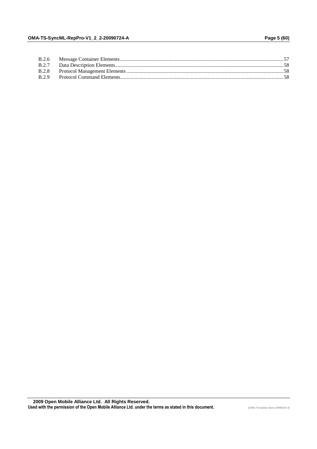| <b>B.2.7</b> |  |
|--------------|--|
| <b>B.2.8</b> |  |
| B.2.9        |  |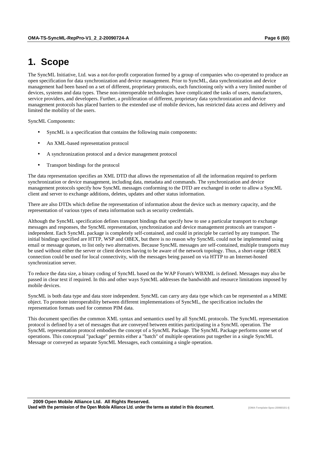# **1. Scope**

The SyncML Initiative, Ltd. was a not-for-profit corporation formed by a group of companies who co-operated to produce an open specification for data synchronization and device management. Prior to SyncML, data synchronization and device management had been based on a set of different, proprietary protocols, each functioning only with a very limited number of devices, systems and data types. These non-interoperable technologies have complicated the tasks of users, manufacturers, service providers, and developers. Further, a proliferation of different, proprietary data synchronization and device management protocols has placed barriers to the extended use of mobile devices, has restricted data access and delivery and limited the mobility of the users.

SyncML Components:

- SyncML is a specification that contains the following main components:
- An XML-based representation protocol
- A synchronization protocol and a device management protocol
- Transport bindings for the protocol

The data representation specifies an XML DTD that allows the representation of all the information required to perform synchronization or device management, including data, metadata and commands. The synchronization and device management protocols specify how SyncML messages conforming to the DTD are exchanged in order to allow a SyncML client and server to exchange additions, deletes, updates and other status information.

There are also DTDs which define the representation of information about the device such as memory capacity, and the representation of various types of meta information such as security credentials.

Although the SyncML specification defines transport bindings that specify how to use a particular transport to exchange messages and responses, the SyncML representation, synchronization and device management protocols are transport independent. Each SyncML package is completely self-contained, and could in principle be carried by any transport. The initial bindings specified are HTTP, WSP and OBEX, but there is no reason why SyncML could not be implemented using email or message queues, to list only two alternatives. Because SyncML messages are self-contained, multiple transports may be used without either the server or client devices having to be aware of the network topology. Thus, a short-range OBEX connection could be used for local connectivity, with the messages being passed on via HTTP to an Internet-hosted synchronization server.

To reduce the data size, a binary coding of SyncML based on the WAP Forum's WBXML is defined. Messages may also be passed in clear text if required. In this and other ways SyncML addresses the bandwidth and resource limitations imposed by mobile devices.

SyncML is both data type and data store independent. SyncML can carry any data type which can be represented as a MIME object. To promote interoperability between different implementations of SyncML, the specification includes the representation formats used for common PIM data.

This document specifies the common XML syntax and semantics used by all SyncML protocols. The SyncML representation protocol is defined by a set of messages that are conveyed between entities participating in a SyncML operation. The SyncML representation protocol embodies the concept of a SyncML Package. The SyncML Package performs some set of operations. This conceptual "package" permits either a "batch" of multiple operations put together in a single SyncML Message or conveyed as separate SyncML Messages, each containing a single operation.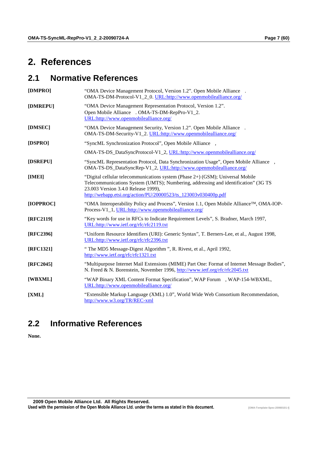# **2. References**

# **2.1 Normative References**

| [DMPRO]     | "OMA Device Management Protocol, Version 1.2". Open Mobile Alliance™.<br>OMA-TS-DM-Protocol-V1_2_0. URL:http://www.openmobilealliance.org/                                                                                                                                     |
|-------------|--------------------------------------------------------------------------------------------------------------------------------------------------------------------------------------------------------------------------------------------------------------------------------|
| [DMREPU]    | "OMA Device Management Representation Protocol, Version 1.2".<br>Open Mobile Alliance™. OMA-TS-DM-RepPro-V1_2.<br>URL:http://www.openmobilealliance.org/                                                                                                                       |
| [DMSEC]     | "OMA Device Management Security, Version 1.2". Open Mobile Alliance™.<br>OMA-TS-DM-Security-V1_2. URL:http://www.openmobilealliance.org/                                                                                                                                       |
| [DSPRO]     | "SyncML Synchronization Protocol", Open Mobile Alliance™,                                                                                                                                                                                                                      |
|             | OMA-TS-DS_DataSyncProtocol-V1_2, URL:http://www.openmobilealliance.org/                                                                                                                                                                                                        |
| [DSREPU]    | "SyncML Representation Protocol, Data Synchronization Usage", Open Mobile Alliance™,<br>OMA-TS-DS_DataSyncRep-V1_2, URL:http://www.openmobilealliance.org/                                                                                                                     |
| [IMEI]      | "Digital cellular telecommunications system (Phase 2+) (GSM); Universal Mobile<br>Telecommunications System (UMTS); Numbering, addressing and identification" (3G TS<br>23.003 Version 3.4.0 Release 1999),<br>http://webapp.etsi.org/action/PU/20000523/ts 123003v030400p.pdf |
| [IOPPROC]   | "OMA Interoperability Policy and Process", Version 1.1, Open Mobile Alliance™, OMA-IOP-<br>Process-V1_1, URL:http://www.openmobilealliance.org/                                                                                                                                |
| [RFC2119]   | "Key words for use in RFCs to Indicate Requirement Levels", S. Bradner, March 1997,<br>URL:http://www.ietf.org/rfc/rfc2119.txt                                                                                                                                                 |
| [RFC2396]   | "Uniform Resource Identifiers (URI): Generic Syntax", T. Berners-Lee, et al., August 1998,<br>URL:http://www.ietf.org/rfc/rfc2396.txt                                                                                                                                          |
| [RFC1321]   | "The MD5 Message-Digest Algorithm", R. Rivest, et al., April 1992,<br>http://www.ietf.org/rfc/rfc1321.txt                                                                                                                                                                      |
| $[RFC2045]$ | "Multipurpose Internet Mail Extensions (MIME) Part One: Format of Internet Message Bodies",<br>N. Freed & N. Borenstein, November 1996, http://www.ietf.org/rfc/rfc2045.txt                                                                                                    |
| [WBXML]     | "WAP Binary XML Content Format Specification", WAP Forum™, WAP-154-WBXML,<br>URL:http://www.openmobilealliance.org/                                                                                                                                                            |
| [XML]       | "Extensible Markup Language (XML) 1.0", World Wide Web Consortium Recommendation,<br>http://www.w3.org/TR/REC-xml                                                                                                                                                              |

# **2.2 Informative References**

**None.**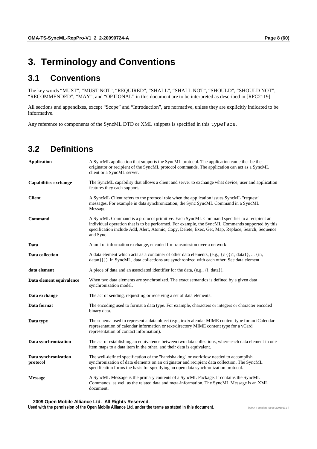# **3. Terminology and Conventions**

# **3.1 Conventions**

The key words "MUST", "MUST NOT", "REQUIRED", "SHALL", "SHALL NOT", "SHOULD", "SHOULD NOT", "RECOMMENDED", "MAY", and "OPTIONAL" in this document are to be interpreted as described in [RFC2119].

All sections and appendixes, except "Scope" and "Introduction", are normative, unless they are explicitly indicated to be informative.

Any reference to components of the SyncML DTD or XML snippets is specified in this typeface.

## **3.2 Definitions**

| <b>Application</b>               | A SyncML application that supports the SyncML protocol. The application can either be the<br>originator or recipient of the SyncML protocol commands. The application can act as a SyncML<br>client or a SyncML server.                                                                                         |
|----------------------------------|-----------------------------------------------------------------------------------------------------------------------------------------------------------------------------------------------------------------------------------------------------------------------------------------------------------------|
| <b>Capabilities exchange</b>     | The SyncML capability that allows a client and server to exchange what device, user and application<br>features they each support.                                                                                                                                                                              |
| <b>Client</b>                    | A SyncML Client refers to the protocol role when the application issues SyncML "request"<br>messages. For example in data synchronization, the Sync SyncML Command in a SyncML<br>Message.                                                                                                                      |
| <b>Command</b>                   | A SyncML Command is a protocol primitive. Each SyncML Command specifies to a recipient an<br>individual operation that is to be performed. For example, the SyncML Commands supported by this<br>specification include Add, Alert, Atomic, Copy, Delete, Exec, Get, Map, Replace, Search, Sequence<br>and Sync. |
| Data                             | A unit of information exchange, encoded for transmission over a network.                                                                                                                                                                                                                                        |
| Data collection                  | A data element which acts as a container of other data elements, (e.g., $\{c \}$ {i1, data1},  {in,<br>datan } } }). In SyncML, data collections are synchronized with each other. See data element.                                                                                                            |
| data element                     | A piece of data and an associated identifier for the data, (e.g., {i, data}).                                                                                                                                                                                                                                   |
| Data element equivalence         | When two data elements are synchronized. The exact semantics is defined by a given data<br>synchronization model.                                                                                                                                                                                               |
| Data exchange                    | The act of sending, requesting or receiving a set of data elements.                                                                                                                                                                                                                                             |
| Data format                      | The encoding used to format a data type. For example, characters or integers or character encoded<br>binary data.                                                                                                                                                                                               |
| Data type                        | The schema used to represent a data object (e.g., text/calendar MIME content type for an iCalendar<br>representation of calendar information or text/directory MIME content type for a vCard<br>representation of contact information).                                                                         |
| Data synchronization             | The act of establishing an equivalence between two data collections, where each data element in one<br>item maps to a data item in the other, and their data is equivalent.                                                                                                                                     |
| Data synchronization<br>protocol | The well-defined specification of the "handshaking" or workflow needed to accomplish<br>synchronization of data elements on an originator and recipient data collection. The SyncML<br>specification forms the basis for specifying an open data synchronization protocol.                                      |
| <b>Message</b>                   | A SyncML Message is the primary contents of a SyncML Package. It contains the SyncML<br>Commands, as well as the related data and meta-information. The SyncML Message is an XML<br>document.                                                                                                                   |

 **2009 Open Mobile Alliance Ltd. All Rights Reserved.**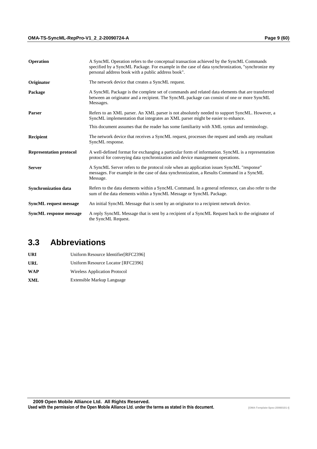| <b>Operation</b>               | A SyncML Operation refers to the conceptual transaction achieved by the SyncML Commands<br>specified by a SyncML Package. For example in the case of data synchronization, "synchronize my<br>personal address book with a public address book". |
|--------------------------------|--------------------------------------------------------------------------------------------------------------------------------------------------------------------------------------------------------------------------------------------------|
| Originator                     | The network device that creates a SyncML request.                                                                                                                                                                                                |
| Package                        | A SyncML Package is the complete set of commands and related data elements that are transferred<br>between an originator and a recipient. The SyncML package can consist of one or more SyncML<br>Messages.                                      |
| <b>Parser</b>                  | Refers to an XML parser. An XML parser is not absolutely needed to support SyncML. However, a<br>SyncML implementation that integrates an XML parser might be easier to enhance.                                                                 |
|                                | This document assumes that the reader has some familiarity with XML syntax and terminology.                                                                                                                                                      |
| <b>Recipient</b>               | The network device that receives a SyncML request, processes the request and sends any resultant<br>SyncML response.                                                                                                                             |
| <b>Representation protocol</b> | A well-defined format for exchanging a particular form of information. SyncML is a representation<br>protocol for conveying data synchronization and device management operations.                                                               |
| <b>Server</b>                  | A SyncML Server refers to the protocol role when an application issues SyncML "response"<br>messages. For example in the case of data synchronization, a Results Command in a SyncML<br>Message.                                                 |
| <b>Synchronization data</b>    | Refers to the data elements within a SyncML Command. In a general reference, can also refer to the<br>sum of the data elements within a SyncML Message or SyncML Package.                                                                        |
| <b>SyncML</b> request message  | An initial SyncML Message that is sent by an originator to a recipient network device.                                                                                                                                                           |
| <b>SyncML</b> response message | A reply SyncML Message that is sent by a recipient of a SyncML Request back to the originator of<br>the SyncML Request.                                                                                                                          |

# **3.3 Abbreviations**

| URI        | Uniform Resource Identifier[RFC2396] |
|------------|--------------------------------------|
| URL        | Uniform Resource Locator [RFC2396]   |
| <b>WAP</b> | Wireless Application Protocol        |
| XML        | Extensible Markup Language           |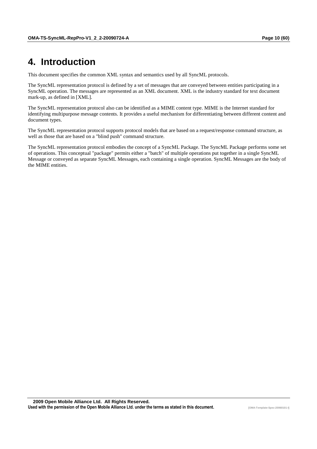# **4. Introduction**

This document specifies the common XML syntax and semantics used by all SyncML protocols.

The SyncML representation protocol is defined by a set of messages that are conveyed between entities participating in a SyncML operation. The messages are represented as an XML document. XML is the industry standard for text document mark-up, as defined in [XML].

The SyncML representation protocol also can be identified as a MIME content type. MIME is the Internet standard for identifying multipurpose message contents. It provides a useful mechanism for differentiating between different content and document types.

The SyncML representation protocol supports protocol models that are based on a request/response command structure, as well as those that are based on a "blind push" command structure.

The SyncML representation protocol embodies the concept of a SyncML Package. The SyncML Package performs some set of operations. This conceptual "package" permits either a "batch" of multiple operations put together in a single SyncML Message or conveyed as separate SyncML Messages, each containing a single operation. SyncML Messages are the body of the MIME entities.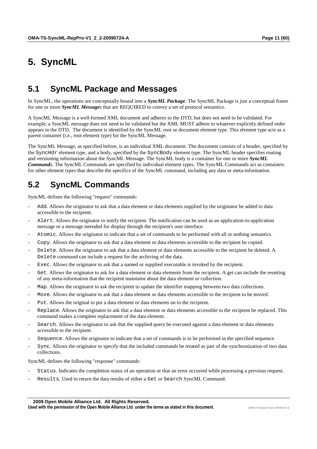# **5. SyncML**

# **5.1 SyncML Package and Messages**

In SyncML, the operations are conceptually bound into a *SyncML Package*. The SyncML Package is just a conceptual frame for one or more *SyncML Message*s that are REQUIRED to convey a set of protocol semantics.

A SyncML Message is a well-formed XML document and adheres to the DTD, but does not need to be validated. For example, a SyncML message does not need to be validated but the XML MUST adhere to whatever explicitly defined order appears in the DTD. The document is identified by the SyncML root or document element type. This element type acts as a parent container (i.e., root element type) for the SyncML Message.

The SyncML Message, as specified before, is an individual XML document. The document consists of a header, specified by the SyncHdr element type, and a body, specified by the SyncBody element type. The SyncML header specifies routing and versioning information about the SyncML Message. The SyncML body is a container for one or more *SyncML Command*s. The SyncML Commands are specified by individual element types. The SyncML Commands act as containers for other element types that describe the specifics of the SyncML command, including any data or meta-information.

# **5.2 SyncML Commands**

SyncML defines the following "request" commands:

- Add. Allows the originator to ask that a data element or data elements supplied by the originator be added to data accessible to the recipient.
- Alert. Allows the originator to notify the recipient. The notification can be used as an application-to-application message or a message intended for display through the recipient's user interface.
- Atomic. Allows the originator to indicate that a set of commands to be performed with all or nothing semantics.
- Copy. Allows the originator to ask that a data element or data elements accessible to the recipient be copied.
- Delete. Allows the originator to ask that a data element or data elements accessible to the recipient be deleted. A Delete command can include a request for the archiving of the data.
- Exec. Allows the originator to ask that a named or supplied executable is invoked by the recipient.
- Get. Allows the originator to ask for a data element or data elements from the recipient. A get can include the resetting of any meta-information that the recipient maintains about the data element or collection.
- Map. Allows the originator to ask the recipient to update the identifier mapping between two data collections.
- Move. Allows the originator to ask that a data element or data elements accessible to the recipient to be moved.
- Put. Allows the original to put a data element or data elements on to the recipient.
- Replace. Allows the originator to ask that a data element or data elements accessible to the recipient be replaced. This command makes a complete replacement of the data element.
- Search. Allows the originator to ask that the supplied query be executed against a data element or data elements accessible to the recipient.
- Sequence. Allows the originator to indicate that a set of commands is to be performed in the specified sequence.
- Sync. Allows the originator to specify that the included commands be treated as part of the synchronization of two data collections.

SyncML defines the following "response" commands:

- Status. Indicates the completion status of an operation or that an error occurred while processing a previous request.
- Results. Used to return the data results of either a Get or Search SyncML Command.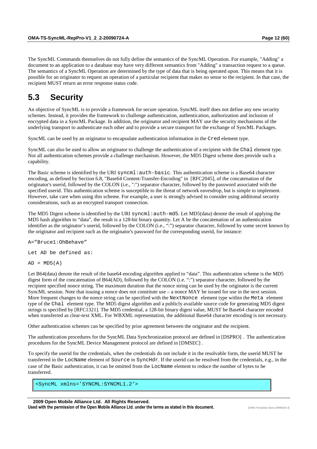The SyncML Commands themselves do not fully define the semantics of the SyncML Operation. For example, "Adding" a document to an application to a database may have very different semantics from "Adding" a transaction request to a queue. The semantics of a SyncML Operation are determined by the type of data that is being operated upon. This means that it is possible for an originator to request an operation of a particular recipient that makes no sense to the recipient. In that case, the recipient MUST return an error response status code.

## **5.3 Security**

An objective of SyncML is to provide a framework for secure operation. SyncML itself does not define any new security schemes. Instead, it provides the framework to challenge authentication, authentication, authorization and inclusion of encrypted data in a SyncML Package. In addition, the originator and recipient MAY use the security mechanisms of the underlying transport to authenticate each other and to provide a secure transport for the exchange of SyncML Packages.

SyncML can be used by an originator to encapsulate authentication information in the Cred element type.

SyncML can also be used to allow an originator to challenge the authentication of a recipient with the Chal element type. Not all authentication schemes provide a challenge mechanism. However, the MD5 Digest scheme does provide such a capability.

The Basic scheme is identified by the URI syncml:auth-basic. This authentication scheme is a Base64 character encoding, as defined by Section 6.8, "Base64 Content-Transfer-Encoding" in [RFC2045], of the concatenation of the originator's userid, followed by the COLON (i.e., ":") separator character, followed by the password associated with the specified userid. This authentication scheme is susceptible to the threat of network eavesdrop, but is simple to implement. However, take care when using this scheme. For example, a user is strongly advised to consider using additional security considerations, such as an encrypted transport connection.

The MD5 Digest scheme is identified by the URI syncml:auth-md5. Let MD5(data) denote the result of applying the MD5 hash algorithm to "data", the result is a 128-bit binary quantity. Let A be the concatenation of an authentication identifier as the originator's userid, followed by the COLON (i.e., ":") separator character, followed by some secret known by the originator and recipient such as the originator's password for the corresponding userid, for instance:

A="Bruce1:OhBehave"

Let AD be defined as:

 $AD = MD5(A)$ 

Let B64(data) denote the result of the base64 encoding algorithm applied to "data". This authentication scheme is the MD5 digest form of the concatenation of B64(AD), followed by the COLON (i.e. ":") separator character, followed by the recipient specified nonce string. The maximum duration that the nonce string can be used by the originator is the current SyncML session. Note that issuing a nonce does not constitute use  $-$  a nonce MAY be issued for use in the next session. More frequent changes to the nonce string can be specified with the NextNonce element type within the Meta element type of the Chal element type. The MD5 digest algorithm and a publicly available source code for generating MD5 digest strings is specified by [RFC1321]. The MD5 credential, a 128-bit binary digest value, MUST be Base64 character encoded when transferred as clear-text XML. For WBXML representation, the additional Base64 character encoding is not necessary.

Other authentication schemes can be specified by prior agreement between the originator and the recipient.

The authentication procedures for the SyncML Data Synchronization protocol are defined in [DSPRO] . The authentication procedures for the SyncML Device Management protocol are defined in [DMSEC] .

To specify the userid for the credentials, when the credentials do not include it in the resolvable form, the userid MUST be transferred in the LocName element of Source in SyncHdr. If the userid can be resolved from the credentials, e.g., in the case of the Basic authentication, it can be omitted from the LocName element to reduce the number of bytes to be transferred.

<SyncML xmlns='SYNCML:SYNCML1.2'>

 **2009 Open Mobile Alliance Ltd. All Rights Reserved.**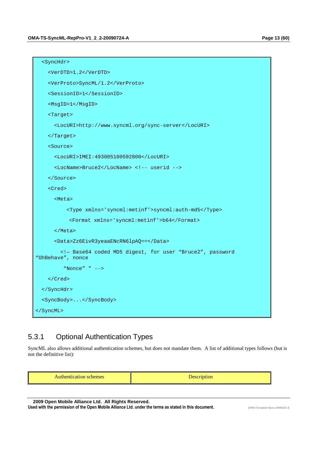```
 <SyncHdr> 
     <VerDTD>1.2</VerDTD> 
     <VerProto>SyncML/1.2</VerProto> 
     <SessionID>1</SessionID> 
     <MsgID>1</MsgID> 
     <Target> 
       <LocURI>http://www.syncml.org/sync-server</LocURI> 
     </Target> 
     <Source> 
       <LocURI>IMEI:493005100592800</LocURI> 
       <LocName>Bruce2</LocName> <!-- userid --> 
     </Source> 
     <Cred> 
       <Meta> 
           <Type xmlns='syncml:metinf'>syncml:auth-md5</Type> 
           <Format xmlns='syncml:metinf'>b64</Format> 
       </Meta> 
       <Data>Zz6EivR3yeaaENcRN6lpAQ==</Data> 
         <!— Base64 coded MD5 digest, for user "Bruce2", password 
"OhBehave", nonce 
          "Nonce" " --> 
     </Cred> 
   </SyncHdr> 
   <SyncBody>...</SyncBody> 
</SyncML>
```
## 5.3.1 Optional Authentication Types

SyncML also allows additional authentication schemes, but does not mandate them. A list of additional types follows (but is not the definitive list):

|--|--|

 **2009 Open Mobile Alliance Ltd. All Rights Reserved.**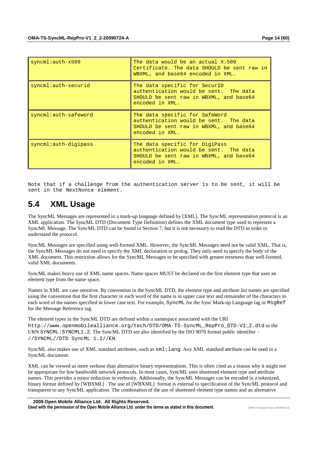| $symcm1:auth-x509$   | The data would be an actual X.509<br>Certificate. The data SHOULD be sent raw in<br>WBXML, and base64 encoded in XML.                  |
|----------------------|----------------------------------------------------------------------------------------------------------------------------------------|
| syncml:auth-securid  | The data specific for SecurID<br>authentication would be sent. The data<br>SHOULD be sent raw in WBXML, and base64<br>encoded in XML.  |
| syncml:auth-safeword | The data specific for SafeWord<br>authentication would be sent. The data<br>SHOULD be sent raw in WBXML, and base64<br>encoded in XML. |
| syncml:auth-digipass | The data specific for DigiPass<br>authentication would be sent. The data<br>SHOULD be sent raw in WBXML, and base64<br>encoded in XML. |

Note that if a challenge from the authentication server is to be sent, it will be sent in the NextNonce element.

# **5.4 XML Usage**

The SyncML Messages are represented in a mark-up language defined by [XML]. The SyncML representation protocol is an XML application. The SyncML DTD (Document Type Definition) defines the XML document type used to represent a SyncML Message. The SyncML DTD can be found in Section 7, but it is not necessary to read the DTD in order to understand the protocol.

SyncML Messages are specified using well-formed XML. However, the SyncML Messages need not be valid XML. That is, the SyncML Messages do not need to specify the XML declaration or prolog. They only need to specify the body of the XML document. This restriction allows for the SyncML Messages to be specified with greater terseness than well-formed, valid XML documents.

SyncML makes heavy use of XML name spaces. Name spaces MUST be declared on the first element type that uses an element type from the name space.

Names in XML are case sensitive. By convention in the SyncML DTD, the element type and attribute list names are specified using the convention that the first character in each word of the name is in upper case text and remainder of the characters in each word of the names specified in lower case text. For example, SyncML for the Sync Mark-up Language tag or MsqRef for the Message Reference tag.

The element types in the SyncML DTD are defined within a namespace associated with the URI http://www.openmobilealliance.org/tech/DTD/OMA-TS-SyncML\_RepPro\_DTD-V1\_2.dtd or the URN SYNCML: SYNCML1.2. The SyncML DTD are also identified by the ISO 9070 formal public identifier -//SYNCML//DTD SyncML 1.2//EN.

SyncML also makes use of XML standard attributes, such as xml:lang. Any XML standard attribute can be used in a SyncML document.

XML can be viewed as more verbose than alternative binary representations. This is often cited as a reason why it might not be appropriate for low bandwidth network protocols. In most cases, SyncML uses shortened element type and attribute names. This provides a minor reduction in verbosity. Additionally, the SyncML Messages can be encoded in a tokenized, binary format defined by [WBXML] . The use of [WBXML] format is external to specification of the SyncML protocol and transparent to any SyncML application. The combination of the use of shortened element type names and an alternative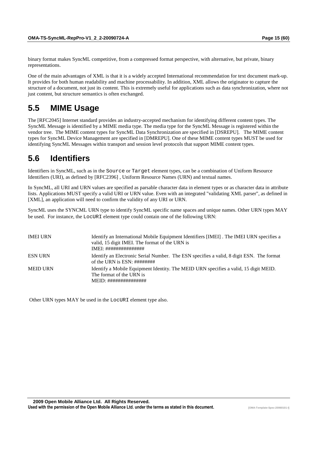binary format makes SyncML competitive, from a compressed format perspective, with alternative, but private, binary representations.

One of the main advantages of XML is that it is a widely accepted International recommendation for text document mark-up. It provides for both human readability and machine processability. In addition, XML allows the originator to capture the structure of a document, not just its content. This is extremely useful for applications such as data synchronization, where not just content, but structure semantics is often exchanged.

# **5.5 MIME Usage**

The [RFC2045] Internet standard provides an industry-accepted mechanism for identifying different content types. The SyncML Message is identified by a MIME media type. The media type for the SyncML Message is registered within the vendor tree. The MIME content types for SyncML Data Synchronization are specified in [DSREPU]. The MIME content types for SyncML Device Management are specified in [DMREPU]. One of these MIME content types MUST be used for identifying SyncML Messages within transport and session level protocols that support MIME content types.

# **5.6 Identifiers**

Identifiers in SyncML, such as in the Source or Target element types, can be a combination of Uniform Resource Identifiers (URI), as defined by [RFC2396] , Uniform Resource Names (URN) and textual names.

In SyncML, all URI and URN values are specified as parsable character data in element types or as character data in attribute lists. Applications MUST specify a valid URI or URN value. Even with an integrated "validating XML parser", as defined in [XML], an application will need to confirm the validity of any URI or URN.

SyncML uses the SYNCML URN type to identify SyncML specific name spaces and unique names. Other URN types MAY be used. For instance, the LocURI element type could contain one of the following URN:

| <b>IMEI URN</b> | Identify an International Mobile Equipment Identifiers [IMEI]. The IMEI URN specifies a<br>valid, 15 digit IMEI. The format of the URN is                                |
|-----------------|--------------------------------------------------------------------------------------------------------------------------------------------------------------------------|
| <b>ESN URN</b>  | Identify an Electronic Serial Number. The ESN specifies a valid, 8 digit ESN. The format<br>of the URN is $ESN: \# \# \# \# \# \# \#$                                    |
| <b>MEID URN</b> | Identify a Mobile Equipment Identity. The MEID URN specifies a valid, 15 digit MEID.<br>The format of the URN is<br>$MEID: \# \# \# \# \# \# \# \# \# \# \# \# \# \# \#$ |

Other URN types MAY be used in the LocURI element type also.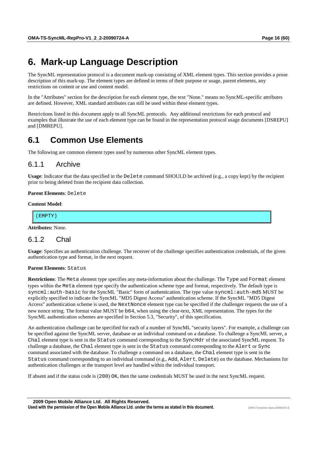# **6. Mark-up Language Description**

The SyncML representation protocol is a document mark-up consisting of XML element types. This section provides a prose description of this mark-up. The element types are defined in terms of their purpose or usage, parent elements, any restrictions on content or use and content model.

In the "Attributes" section for the description for each element type, the text "None." means no SyncML-specific attributes are defined. However, XML standard attributes can still be used within these element types.

Restrictions listed in this document apply to all SyncML protocols. Any additional restrictions for each protocol and examples that illustrate the use of each element type can be found in the representation protocol usage documents [DSREPU] and [DMREPU].

# **6.1 Common Use Elements**

The following are common element types used by numerous other SyncML element types.

## 6.1.1 Archive

**Usage**: Indicator that the data specified in the Delete command SHOULD be archived (e.g., a copy kept) by the recipient prior to being deleted from the recipient data collection.

#### **Parent Elements**: Delete

#### **Content Model**:

(EMPTY)

**Attributes:** None.

### 6.1.2 Chal

**Usage**: Specifies an authentication challenge. The receiver of the challenge specifies authentication credentials, of the given authentication type and format, in the next request.

#### **Parent Elements**: Status

**Restrictions**: The Meta element type specifies any meta-information about the challenge. The Type and Format element types within the Meta element type specify the authentication scheme type and format, respectively. The default type is syncml:auth-basic for the SyncML "Basic" form of authentication. The type value syncml:auth-md5 MUST be explicitly specified to indicate the SyncML "MD5 Digest Access" authentication scheme. If the SyncML "MD5 Digest Access" authentication scheme is used, the NextNonce element type can be specified if the challenger requests the use of a new nonce string. The format value MUST be b64, when using the clear-text, XML representation. The types for the SyncML authentication schemes are specified in Section 5.3, "Security", of this specification.

An authentication challenge can be specified for each of a number of SyncML "security layers". For example, a challenge can be specified against the SyncML server, database or an individual command on a database. To challenge a SyncML server, a Chal element type is sent in the Status command corresponding to the SyncHdr of the associated SyncML request. To challenge a database, the Chal element type is sent in the Status command corresponding to the Alert or Sync command associated with the database. To challenge a command on a database, the Chal element type is sent in the Status command corresponding to an individual command (e.g., Add, Alert, Delete) on the database. Mechanisms for authentication challenges at the transport level are handled within the individual transport.

If absent and if the status code is (200) OK, then the same credentials MUST be used in the next SyncML request.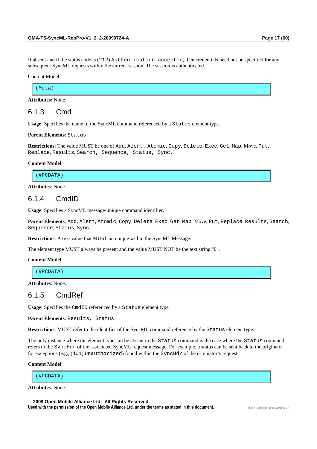If absent and if the status code is (212) Authentication accepted, then credentials need not be specified for any subsequent SyncML requests within the current session. The session is authenticated.

Content Model:

(Meta)

**Attributes:** None.

## 6.1.3 Cmd

**Usage**: Specifies the name of the SyncML command referenced by a Status element type.

**Parent Elements**: Status

**Restrictions**: The value MUST be one of Add, Alert**,** Atomic, Copy, Delete, Exec, Get, Map, Move, Put, Replace, Results, Search**,** Sequence, Status**,** Sync.

#### **Content Model**:

(#PCDATA)

**Attributes**: None.

## 6.1.4 CmdID

**Usage**: Specifies a SyncML message-unique command identifier.

**Parent Elements**: Add, Alert, Atomic, Copy, Delete, Exec, Get, Map, Move, Put, Replace, Results, Search, Sequence, Status, Sync

**Restrictions**: A text value that MUST be unique within the SyncML Message.

The element type MUST always be present and the value MUST NOT be the text string "0".

#### **Content Model**:

(#PCDATA)

**Attributes**: None.

## 6.1.5 CmdRef

**Usage**: Specifies the CmdID referenced by a Status element type.

**Parent Elements**: Results, Status

**Restrictions**: MUST refer to the identifier of the SyncML command reference by the Status element type.

The only instance where the element type can be absent in the Status command is the case where the Status command refers to the SyncHdr of the associated SyncML request message. For example, a status can be sent back to the originator for exceptions (e.g., (401) Unauthorized) found within the SyncHdr of the originator's request.

**Content Model**:

(#PCDATA)

**Attributes**: None.

 **2009 Open Mobile Alliance Ltd. All Rights Reserved.**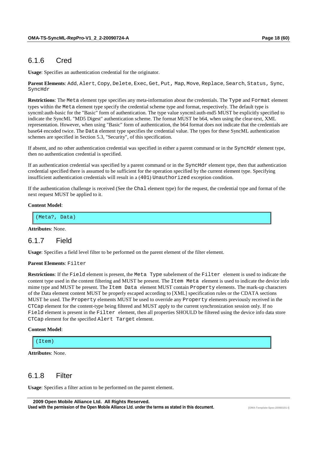## 6.1.6 Cred

**Usage**: Specifies an authentication credential for the originator.

**Parent Elements**: Add, Alert, Copy, Delete, Exec, Get, Put, Map, Move, Replace, Search, Status, Sync, SyncHdr

**Restrictions**: The Meta element type specifies any meta-information about the credentials. The Type and Format element types within the Meta element type specify the credential scheme type and format, respectively. The default type is syncml:auth-basic for the "Basic" form of authentication. The type value syncml:auth-md5 MUST be explicitly specified to indicate the SyncML "MD5 Digest" authentication scheme. The format MUST be b64, when using the clear-text, XML representation. However, when using "Basic" form of authentication, the b64 format does not indicate that the credentials are base64 encoded twice. The Data element type specifies the credential value. The types for these SyncML authentication schemes are specified in Section 5.3, "Security", of this specification.

If absent, and no other authentication credential was specified in either a parent command or in the SyncHdr element type, then no authentication credential is specified.

If an authentication credential was specified by a parent command or in the SyncHdx element type, then that authentication credential specified there is assumed to be sufficient for the operation specified by the current element type. Specifying insufficient authentication credentials will result in a (401) Unauthorized exception condition.

If the authentication challenge is received (See the Chal element type) for the request, the credential type and format of the next request MUST be applied to it.

#### **Content Model**:

(Meta?, Data)

**Attributes**: None.

### 6.1.7 Field

**Usage**: Specifies a field level filter to be performed on the parent element of the filter element.

#### **Parent Elements**: Filter

**Restrictions**: If the Field element is present, the Meta Type subelement of the Filter element is used to indicate the content type used in the content filtering and MUST be present. The Item Meta element is used to indicate the device info mime type and MUST be present. The Item Data element MUST contain Property elements. The mark-up characters of the Data element content MUST be properly escaped according to [XML] specification rules or the CDATA sections MUST be used. The Property elements MUST be used to override any Property elements previously received in the CTCap element for the content-type being filtered and MUST apply to the current synchronization session only. If no Field element is present in the Filter element, then all properties SHOULD be filtered using the device info data store CTCap element for the specified Alert Target element.

#### **Content Model**:

 $(Ttem)$ 

```
Attributes: None.
```
## 6.1.8 Filter

**Usage**: Specifies a filter action to be performed on the parent element.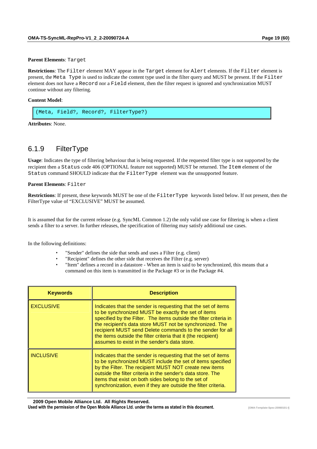#### **Parent Elements**: Target

**Restrictions**: The Filter element MAY appear in the Target element for Alert elements. If the Filter element is present, the Meta Type is used to indicate the content type used in the filter query and MUST be present. If the Filter element does not have a Record nor a Field element, then the filter request is ignored and synchronization MUST continue without any filtering.

#### **Content Model**:

```
(Meta, Field?, Record?, FilterType?)
```
**Attributes**: None.

## 6.1.9 FilterType

**Usage**: Indicates the type of filtering behaviour that is being requested. If the requested filter type is not supported by the recipient then a Status code 406 (OPTIONAL feature not supported) MUST be returned. The Item element of the Status command SHOULD indicate that the FilterType element was the unsupported feature.

#### **Parent Elements**: Filter

**Restrictions**: If present, these keywords MUST be one of the FilterType keywords listed below. If not present, then the FilterType value of "EXCLUSIVE" MUST be assumed.

It is assumed that for the current release (e.g. SyncML Common 1.2) the only valid use case for filtering is when a client sends a filter to a server. In further releases, the specification of filtering may satisfy additional use cases.

In the following definitions:

- "Sender" defines the side that sends and uses a Filter (e.g. client)
- "Recipient" defines the other side that receives the Filter (e.g. server)
- "Item" defines a record in a datastore When an item is said to be synchronized, this means that a command on this item is transmitted in the Package #3 or in the Package #4.

| <b>Keywords</b>  | <b>Description</b>                                                                                                                                                                                                                                                                                                                                                                                                                  |
|------------------|-------------------------------------------------------------------------------------------------------------------------------------------------------------------------------------------------------------------------------------------------------------------------------------------------------------------------------------------------------------------------------------------------------------------------------------|
| <b>EXCLUSIVE</b> | Indicates that the sender is requesting that the set of items<br>to be synchronized MUST be exactly the set of items<br>specified by the Filter. The items outside the filter criteria in<br>the recipient's data store MUST not be synchronized. The<br>recipient MUST send Delete commands to the sender for all<br>the items outside the filter criteria that it (the recipient)<br>assumes to exist in the sender's data store. |
| <b>INCLUSIVE</b> | Indicates that the sender is requesting that the set of items<br>to be synchronized MUST include the set of items specified<br>by the Filter. The recipient MUST NOT create new items<br>outside the filter criteria in the sender's data store. The<br>items that exist on both sides belong to the set of<br>synchronization, even if they are outside the filter criteria.                                                       |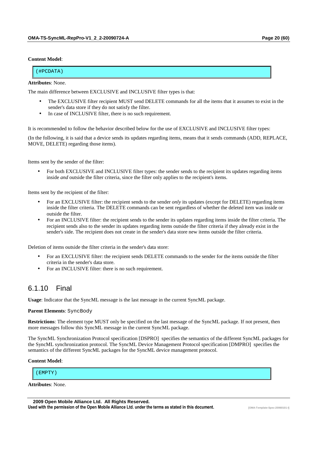#### **Content Model**:

| 1 H I<br>ת ה<br>1.2222222 |  |
|---------------------------|--|

#### **Attributes**: None.

The main difference between EXCLUSIVE and INCLUSIVE filter types is that:

- The EXCLUSIVE filter recipient MUST send DELETE commands for all the items that it assumes to exist in the sender's data store if they do not satisfy the filter.
- In case of INCLUSIVE filter, there is no such requirement.

It is recommended to follow the behavior described below for the use of EXCLUSIVE and INCLUSIVE filter types:

(In the following, it is said that a device sends its updates regarding items, means that it sends commands (ADD, REPLACE, MOVE, DELETE) regarding those items).

Items sent by the sender of the filter:

• For both EXCLUSIVE and INCLUSIVE filter types: the sender sends to the recipient its updates regarding items inside *and* outside the filter criteria, since the filter only applies to the recipient's items.

Items sent by the recipient of the filter:

- For an EXCLUSIVE filter: the recipient sends to the sender *only* its updates (except for DELETE) regarding items inside the filter criteria. The DELETE commands can be sent regardless of whether the deleted item was inside or outside the filter.
- For an INCLUSIVE filter: the recipient sends to the sender its updates regarding items inside the filter criteria. The recipient sends also to the sender its updates regarding items outside the filter criteria if they already exist in the sender's side. The recipient does not create in the sender's data store new items outside the filter criteria.

Deletion of items outside the filter criteria in the sender's data store:

- For an EXCLUSIVE filter: the recipient sends DELETE commands to the sender for the items outside the filter criteria in the sender's data store.
- For an INCLUSIVE filter: there is no such requirement.

### 6.1.10 Final

**Usage**: Indicator that the SyncML message is the last message in the current SyncML package.

#### **Parent Elements**: SyncBody

**Restrictions**: The element type MUST only be specified on the last message of the SyncML package. If not present, then more messages follow this SyncML message in the current SyncML package.

The SyncML Synchronization Protocol specification [DSPRO] specifies the semantics of the different SyncML packages for the SyncML synchronization protocol. The SyncML Device Management Protocol specification [DMPRO] specifies the semantics of the different SyncML packages for the SyncML device management protocol.

#### **Content Model**:

**Attributes**: None.

 **2009 Open Mobile Alliance Ltd. All Rights Reserved.** Used with the permission of the Open Mobile Alliance Ltd. under the terms as stated in this document.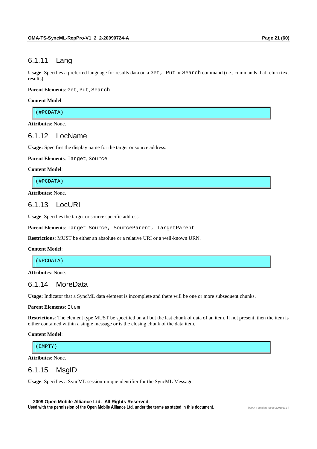## 6.1.11 Lang

**Usage**: Specifies a preferred language for results data on a Get, Put or Search command (i.e., commands that return text results).

**Parent Elements**: Get, Put, Search

#### **Content Model**:

(#PCDATA)

**Attributes**: None.

## 6.1.12 LocName

**Usage:** Specifies the display name for the target or source address.

**Parent Elements**: Target, Source

#### **Content Model**:

(#PCDATA)

**Attributes**: None.

### 6.1.13 LocURI

**Usage**: Specifies the target or source specific address.

Parent Elements: Target, Source, SourceParent, TargetParent

**Restrictions**: MUST be either an absolute or a relative URI or a well-known URN.

#### **Content Model**:

(#PCDATA)

**Attributes**: None.

## 6.1.14 MoreData

**Usage:** Indicator that a SyncML data element is incomplete and there will be one or more subsequent chunks.

#### **Parent Elements**: Item

**Restrictions**: The element type MUST be specified on all but the last chunk of data of an item. If not present, then the item is either contained within a single message or is the closing chunk of the data item.

#### **Content Model**:

(EMPTY)

**Attributes**: None.

### 6.1.15 MsgID

**Usage**: Specifies a SyncML session-unique identifier for the SyncML Message.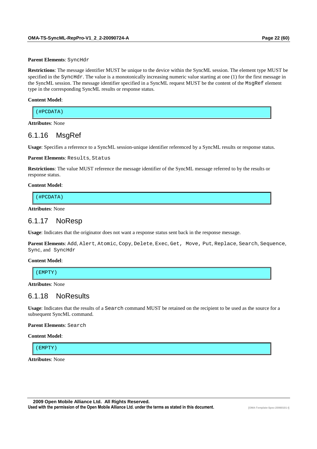**Parent Elements**: SyncHdr

**Restrictions**: The message identifier MUST be unique to the device within the SyncML session. The element type MUST be specified in the SyncHdr. The value is a monotonically increasing numeric value starting at one (1) for the first message in the SyncML session. The message identifier specified in a SyncML request MUST be the content of the MsgRef element type in the corresponding SyncML results or response status.

#### **Content Model**:

| ------<br>$H$ DCT<br>(#PCDATA) |  |  |
|--------------------------------|--|--|
|                                |  |  |

**Attributes**: None

## 6.1.16 MsgRef

**Usage**: Specifies a reference to a SyncML session-unique identifier referenced by a SyncML results or response status.

#### **Parent Elements**: Results, Status

**Restrictions**: The value MUST reference the message identifier of the SyncML message referred to by the results or response status.

#### **Content Model**:

(#PCDATA)

**Attributes**: None

## 6.1.17 NoResp

**Usage**: Indicates that the originator does not want a response status sent back in the response message.

**Parent Elements**: Add, Alert, Atomic, Copy, Delete, Exec, Get, Move, Put, Replace, Search, Sequence, Sync, and SyncHdr

#### **Content Model**:

(EMPTY)

**Attributes**: None

## 6.1.18 NoResults

**Usage**: Indicates that the results of a Search command MUST be retained on the recipient to be used as the source for a subsequent SyncML command.

#### **Parent Elements**: Search

**Content Model**:

(EMPTY)

**Attributes**: None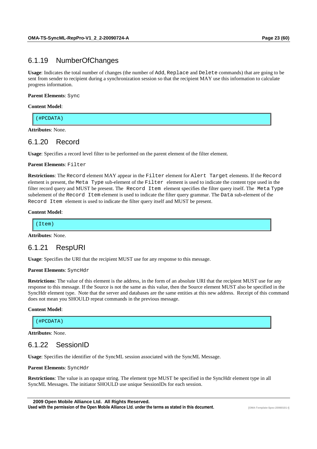## 6.1.19 NumberOfChanges

**Usage**: Indicates the total number of changes (the number of Add, Replace and Delete commands) that are going to be sent from sender to recipient during a synchronization session so that the recipient MAY use this information to calculate progress information.

#### **Parent Elements**: Sync

#### **Content Model**:

(#PCDATA)

**Attributes**: None.

### 6.1.20 Record

**Usage**: Specifies a record level filter to be performed on the parent element of the filter element.

#### **Parent Elements**: Filter

**Restrictions**: The Record element MAY appear in the Filter element for Alert Target elements. If the Record element is present, the Meta Type sub-element of the Filter element is used to indicate the content type used in the filter record query and MUST be present. The Record Item element specifies the filter query itself. The Meta Type subelement of the Record Item element is used to indicate the filter query grammar. The Data sub-element of the Record Item element is used to indicate the filter query itself and MUST be present.

#### **Content Model**:

**Attributes**: None.

## 6.1.21 RespURI

**Usage**: Specifies the URI that the recipient MUST use for any response to this message.

#### **Parent Elements**: SyncHdr

**Restrictions**: The value of this element is the address, in the form of an absolute URI that the recipient MUST use for any response to this message. If the Source is not the same as this value, then the Source element MUST also be specified in the SyncHdr element type. Note that the server and databases are the same entities at this new address. Receipt of this command does not mean you SHOULD repeat commands in the previous message.

#### **Content Model**:

(#PCDATA)

**Attributes**: None.

## 6.1.22 SessionID

**Usage**: Specifies the identifier of the SyncML session associated with the SyncML Message.

#### **Parent Elements**: SyncHdr

**Restrictions**: The value is an opaque string. The element type MUST be specified in the SyncHdr element type in all SyncML Messages. The initiator SHOULD use unique SessionIDs for each session.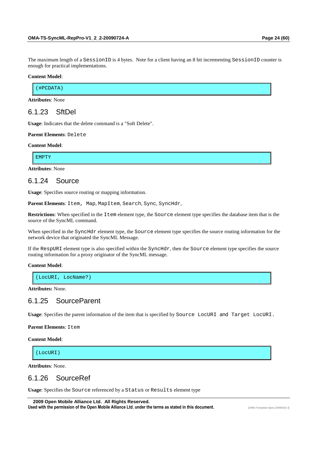The maximum length of a SessionID is 4 bytes. Note for a client having an 8 bit incrementing SessionID counter is enough for practical implementations.

#### **Content Model**:

(#PCDATA)

**Attributes**: None

## 6.1.23 SftDel

**Usage**: Indicates that the delete command is a "Soft Delete".

**Parent Elements**: Delete

#### **Content Model**:

EMPTY

**Attributes**: None

## 6.1.24 Source

**Usage**: Specifies source routing or mapping information.

Parent Elements: Item, Map, MapItem, Search, Sync, SyncHdr,

**Restrictions**: When specified in the Item element type, the Source element type specifies the database item that is the source of the SyncML command.

When specified in the SyncHdr element type, the Source element type specifies the source routing information for the network device that originated the SyncML Message.

If the RespURI element type is also specified within the SyncHdr, then the Source element type specifies the source routing information for a proxy originator of the SyncML message.

#### **Content Model**:

(LocURI, LocName?)

**Attributes:** None.

## 6.1.25 SourceParent

**Usage**: Specifies the parent information of the item that is specified by Source LocURI and Target LocURI.

**Parent Elements: Item** 

**Content Model**:

(LocURI)

**Attributes**: None.

### 6.1.26 SourceRef

**Usage**: Specifies the Source referenced by a Status or Results element type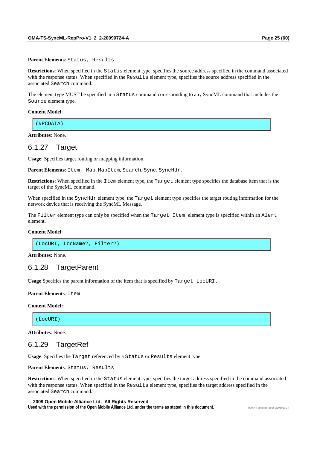**Parent Elements**: Status, Results

**Restrictions**: When specified in the Status element type, specifies the source address specified in the command associated with the response status. When specified in the Results element type, specifies the source address specified in the associated Search command.

The element type MUST be specified in a Status command corresponding to any SyncML command that includes the Source element type.

#### **Content Model**:

(#PCDATA)

**Attributes**: None.

### 6.1.27 Target

**Usage**: Specifies target routing or mapping information.

Parent Elements: Item, Map, MapItem, Search, Sync, SyncHdr,

**Restrictions**: When specified in the Item element type, the Target element type specifies the database item that is the target of the SyncML command.

When specified in the SyncHdr element type, the Target element type specifies the target routing information for the network device that is receiving the SyncML Message.

The Filter element type can only be specified when the Target Item element type is specified within an Alert element.

#### **Content Model**:

(LocURI, LocName?, Filter?)

**Attributes:** None.

## 6.1.28 TargetParent

**Usage** Specifies the parent information of the item that is specified by Target LocURI.

**Parent Elements: Item** 

#### **Content Model:**

(LocURI)

**Attributes**: None.

### 6.1.29 TargetRef

**Usage**: Specifies the Target referenced by a Status or Results element type

**Parent Elements**: Status, Results

**Restrictions**: When specified in the Status element type, specifies the target address specified in the command associated with the response status. When specified in the Results element type, specifies the target address specified in the associated Search command.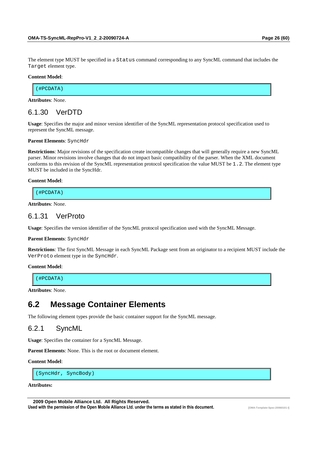The element type MUST be specified in a Status command corresponding to any SyncML command that includes the Target element type.

#### **Content Model**:

(#PCDATA)

**Attributes**: None.

## 6.1.30 VerDTD

**Usage**: Specifies the major and minor version identifier of the SyncML representation protocol specification used to represent the SyncML message.

#### **Parent Elements**: SyncHdr

**Restrictions**: Major revisions of the specification create incompatible changes that will generally require a new SyncML parser. Minor revisions involve changes that do not impact basic compatibility of the parser. When the XML document conforms to this revision of the SyncML representation protocol specification the value MUST be 1.2. The element type MUST be included in the SyncHdr.

#### **Content Model**:

(#PCDATA)

**Attributes**: None.

### 6.1.31 VerProto

**Usage**: Specifies the version identifier of the SyncML protocol specification used with the SyncML Message.

#### **Parent Elements**: SyncHdr

**Restrictions**: The first SyncML Message in each SyncML Package sent from an originator to a recipient MUST include the VerProto element type in the SyncHdr.

#### **Content Model**:

(#PCDATA)

**Attributes**: None.

## **6.2 Message Container Elements**

The following element types provide the basic container support for the SyncML message.

### 6.2.1 SyncML

**Usage**: Specifies the container for a SyncML Message.

**Parent Elements**: None. This is the root or document element.

#### **Content Model**:

(SyncHdr, SyncBody)

#### **Attributes:**

 **2009 Open Mobile Alliance Ltd. All Rights Reserved.**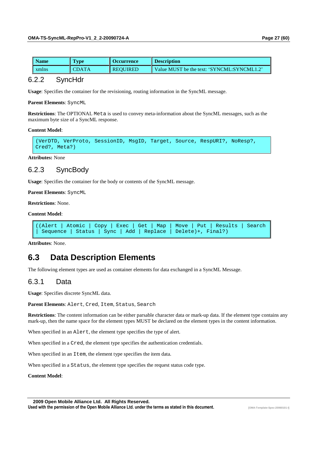| Name  | vpe) | Occurrence      | <b>Description</b>                         |
|-------|------|-----------------|--------------------------------------------|
| xmlns |      | <b>REQUIRED</b> | Value MUST be the text: 'SYNCML:SYNCML1.2' |

### 6.2.2 SyncHdr

**Usage**: Specifies the container for the revisioning, routing information in the SyncML message.

**Parent Elements**: SyncML

**Restrictions**: The OPTIONAL Meta is used to convey meta-information about the SyncML messages, such as the maximum byte size of a SyncML response.

**Content Model**:

(VerDTD, VerProto, SessionID, MsgID, Target, Source, RespURI?, NoResp?, Cred?, Meta?)

**Attributes:** None

## 6.2.3 SyncBody

**Usage**: Specifies the container for the body or contents of the SyncML message.

**Parent Elements**: SyncML

**Restrictions**: None.

**Content Model**:

```
((Alert | Atomic | Copy | Exec | Get | Map | Move | Put | Results | Search 
 | Sequence | Status | Sync | Add | Replace | Delete)+, Final?)
```
**Attributes**: None.

## **6.3 Data Description Elements**

The following element types are used as container elements for data exchanged in a SyncML Message.

### 6.3.1 Data

**Usage**: Specifies discrete SyncML data.

**Parent Elements**: Alert, Cred, Item, Status, Search

**Restrictions**: The content information can be either parsable character data or mark-up data. If the element type contains any mark-up, then the name space for the element types MUST be declared on the element types in the content information.

When specified in an Alert, the element type specifies the type of alert.

When specified in a Cred, the element type specifies the authentication credentials.

When specified in an Item, the element type specifies the item data.

When specified in a Status, the element type specifies the request status code type.

**Content Model**: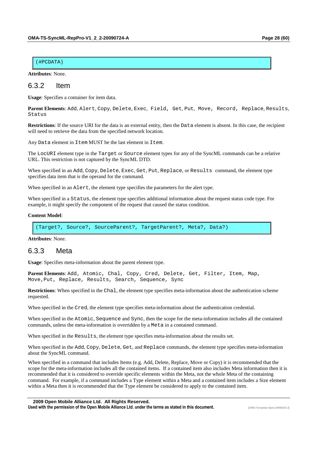#### (#PCDATA)

**Attributes**: None.

## 6.3.2 Item

**Usage**: Specifies a container for item data.

**Parent Elements**: Add, Alert, Copy, Delete, Exec, Field, Get, Put, Move, Record, Replace, Results, Status

Restrictions: If the source URI for the data is an external entity, then the Data element is absent. In this case, the recipient will need to retrieve the data from the specified network location.

Any Data element in Item MUST be the last element in Item.

The LocURI element type in the Target or Source element types for any of the SyncML commands can be a relative URL. This restriction is not captured by the SyncML DTD.

When specified in an Add, Copy, Delete, Exec, Get, Put, Replace, or Results command, the element type specifies data item that is the operand for the command.

When specified in an Alert, the element type specifies the parameters for the alert type.

When specified in a Status, the element type specifies additional information about the request status code type. For example, it might specify the component of the request that caused the status condition.

#### **Content Model**:

(Target?, Source?, SourceParent?, TargetParent?, Meta?, Data?)

**Attributes**: None.

## 6.3.3 Meta

**Usage**: Specifies meta-information about the parent element type.

**Parent Elements**: Add, Atomic, Chal, Copy, Cred, Delete, Get, Filter, Item, Map, Move,Put, Replace, Results, Search, Sequence, Sync

**Restrictions**: When specified in the Chal, the element type specifies meta-information about the authentication scheme requested.

When specified in the Cred, the element type specifies meta-information about the authentication credential.

When specified in the Atomic, Sequence and Sync, then the scope for the meta-information includes all the contained commands, unless the meta-information is overridden by a Meta in a contained command.

When specified in the Results, the element type specifies meta-information about the results set.

When specified in the Add, Copy, Delete, Get, and Replace commands, the element type specifies meta-information about the SyncML command.

When specified in a command that includes Items (e.g. Add, Delete, Replace, Move or Copy) it is recommended that the scope for the meta-information includes all the contained items. If a contained item also includes Meta information then it is recommended that it is considered to override specific elements within the Meta, not the whole Meta of the containing command. For example, if a command includes a Type element within a Meta and a contained item includes a Size element within a Meta then it is recommended that the Type element be considered to apply to the contained item.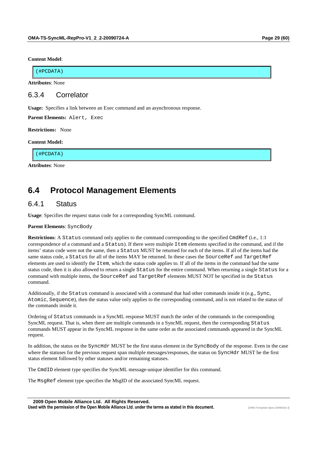#### **Content Model**:

(#PCDATA)

**Attributes**: None

## 6.3.4 Correlator

**Usage:** Specifies a link between an Exec command and an asynchronous response.

**Parent Elements:** Alert, Exec

**Restrictions:** None

#### **Content Model:**

(#PCDATA)

**Attributes**: None

## **6.4 Protocol Management Elements**

## 6.4.1 Status

**Usage**: Specifies the request status code for a corresponding SyncML command.

**Parent Elements**: SyncBody

**Restrictions**: A Status command only applies to the command corresponding to the specified CmdRef (i.e., 1:1) correspondence of a command and a Status). If there were multiple Item elements specified in the command, and if the items' status code were not the same, then a Status MUST be returned for each of the items. If all of the items had the same status code, a Status for all of the items MAY be returned. In these cases the SourceRef and TargetRef elements are used to identify the Item, which the status code applies to. If all of the items in the command had the same status code, then it is also allowed to return a single Status for the entire command. When returning a single Status for a command with multiple items, the SourceRef and TargetRef elements MUST NOT be specified in the Status command.

Additionally, if the Status command is associated with a command that had other commands inside it (e.g., Sync, Atomic, Sequence), then the status value only applies to the corresponding command, and is not related to the status of the commands inside it.

Ordering of Status commands in a SyncML response MUST match the order of the commands in the corresponding SyncML request. That is, when there are multiple commands in a SyncML request, then the corresponding Status commands MUST appear in the SyncML response in the same order as the associated commands appeared in the SyncML request.

In addition, the status on the SyncHdr MUST be the first status element in the SyncBody of the response. Even in the case where the statuses for the previous request span multiple messages/responses, the status on SyncHdr MUST be the first status element followed by other statuses and/or remaining statuses.

The CmdID element type specifies the SyncML message-unique identifier for this command.

The MsgRef element type specifies the MsgID of the associated SyncML request.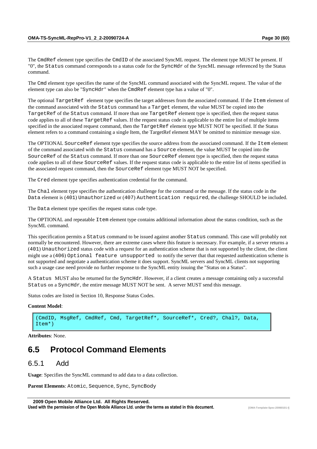command.

The Cmd element type specifies the name of the SyncML command associated with the SyncML request. The value of the element type can also be "SyncHdr" when the CmdRef element type has a value of "0".

The optional TargetRef element type specifies the target addresses from the associated command. If the Item element of the command associated with the Status command has a Target element, the value MUST be copied into the TargetRef of the Status command. If more than one TargetRef element type is specified, then the request status code applies to all of these TargetRef values. If the request status code is applicable to the entire list of multiple items specified in the associated request command, then the TargetRef element type MUST NOT be specified. If the Status element refers to a command containing a single Item, the TargetRef element MAY be omitted to minimize message size.

The OPTIONAL SourceRef element type specifies the source address from the associated command. If the Item element of the command associated with the Status command has a Source element, the value MUST be copied into the SourceRef of the Status command. If more than one SourceRef element type is specified, then the request status code applies to all of these SourceRef values. If the request status code is applicable to the entire list of items specified in the associated request command, then the SourceRef element type MUST NOT be specified.

The Cred element type specifies authentication credential for the command.

The Chal element type specifies the authentication challenge for the command or the message. If the status code in the Data element is (401) Unauthorized or (407) Authentication required, the challenge SHOULD be included.

The Data element type specifies the request status code type.

The OPTIONAL and repeatable Item element type contains additional information about the status condition, such as the SyncML command.

This specification permits a Status command to be issued against another Status command. This case will probably not normally be encountered. However, there are extreme cases where this feature is necessary. For example, if a server returns a (401) Unauthorized status code with a request for an authentication scheme that is not supported by the client, the client might use a (406) Optional feature unsupported to notify the server that that requested authentication scheme is not supported and negotiate a authentication scheme it does support. SyncML servers and SyncML clients not supporting such a usage case need provide no further response to the SyncML entity issuing the "Status on a Status".

A Status MUST also be returned for the SyncHdr. However, if a client creates a message containing only a successful Status on a SyncHdr, the entire message MUST NOT be sent. A server MUST send this message.

Status codes are listed in Section 10, Response Status Codes.

#### **Content Model**:

(CmdID, MsgRef, CmdRef, Cmd, TargetRef\*, SourceRef\*, Cred?, Chal?, Data, Item\*)

**Attributes**: None.

## **6.5 Protocol Command Elements**

## 6.5.1 Add

**Usage**: Specifies the SyncML command to add data to a data collection.

Parent Elements: Atomic, Sequence, Sync, SyncBody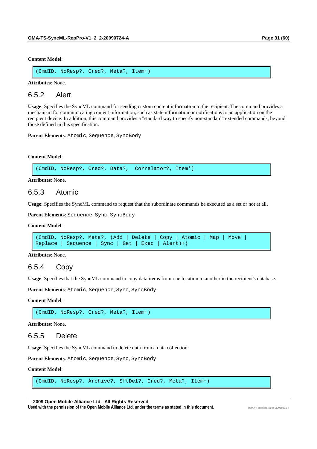**Content Model**:

(CmdID, NoResp?, Cred?, Meta?, Item+)

**Attributes**: None.

6.5.2 Alert

**Usage**: Specifies the SyncML command for sending custom content information to the recipient. The command provides a mechanism for communicating content information, such as state information or notifications to an application on the recipient device. In addition, this command provides a "standard way to specify non-standard" extended commands, beyond those defined in this specification.

**Parent Elements**: Atomic, Sequence, SyncBody

#### **Content Model**:

(CmdID, NoResp?, Cred?, Data?, Correlator?, Item\*)

**Attributes**: None.

### 6.5.3 Atomic

**Usage**: Specifies the SyncML command to request that the subordinate commands be executed as a set or not at all.

Parent Elements: Sequence, Sync, SyncBody

**Content Model**:

```
(CmdID, NoResp?, Meta?, (Add | Delete | Copy | Atomic | Map | Move | 
Replace | Sequence | Sync | Get | Exec | Alert)+)
```
**Attributes**: None.

## 6.5.4 Copy

**Usage**: Specifies that the SyncML command to copy data items from one location to another in the recipient's database.

Parent Elements: Atomic, Sequence, Sync, SyncBody

#### **Content Model**:

(CmdID, NoResp?, Cred?, Meta?, Item+)

**Attributes**: None.

## 6.5.5 Delete

**Usage**: Specifies the SyncML command to delete data from a data collection.

Parent Elements: Atomic, Sequence, Sync, SyncBody

#### **Content Model**:

(CmdID, NoResp?, Archive?, SftDel?, Cred?, Meta?, Item+)

 **2009 Open Mobile Alliance Ltd. All Rights Reserved.**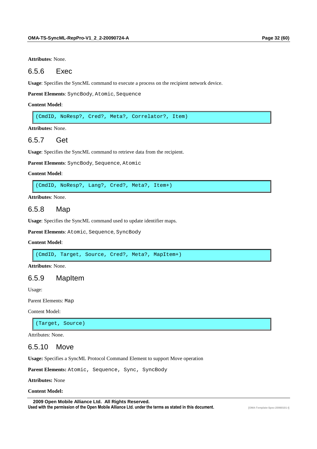**Attributes**: None.

### 6.5.6 Exec

**Usage**: Specifies the SyncML command to execute a process on the recipient network device.

**Parent Elements**: SyncBody, Atomic, Sequence

#### **Content Model**:

(CmdID, NoResp?, Cred?, Meta?, Correlator?, Item)

**Attributes:** None.

## 6.5.7 Get

**Usage**: Specifies the SyncML command to retrieve data from the recipient.

**Parent Elements**: SyncBody, Sequence, Atomic

#### **Content Model**:

(CmdID, NoResp?, Lang?, Cred?, Meta?, Item+)

**Attributes**: None.

## 6.5.8 Map

**Usage**: Specifies the SyncML command used to update identifier maps.

**Parent Elements**: Atomic, Sequence, SyncBody

#### **Content Model**:

(CmdID, Target, Source, Cred?, Meta?, MapItem+)

**Attributes**: None.

## 6.5.9 MapItem

Usage:

Parent Elements: Map

Content Model:

(Target, Source)

Attributes: None.

## 6.5.10 Move

**Usage:** Specifies a SyncML Protocol Command Element to support Move operation

Parent Elements: Atomic, Sequence, Sync, SyncBody

**Attributes:** None

**Content Model:**

 **2009 Open Mobile Alliance Ltd. All Rights Reserved.** Used with the permission of the Open Mobile Alliance Ltd. under the terms as stated in this document.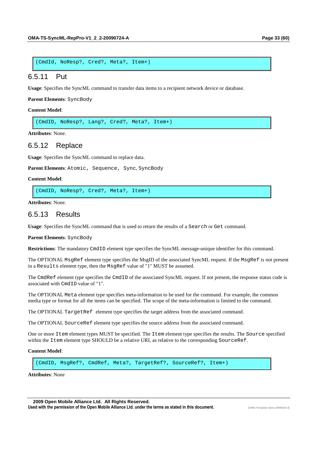```
(CmdId, NoResp?, Cred?, Meta?, Item+)
```
#### 6.5.11 Put

**Usage**: Specifies the SyncML command to transfer data items to a recipient network device or database.

**Parent Elements**: SyncBody

**Content Model**:

(CmdID, NoResp?, Lang?, Cred?, Meta?, Item+)

**Attributes**: None.

### 6.5.12 Replace

**Usage**: Specifies the SyncML command to replace data.

Parent Elements: Atomic, Sequence, Sync, SyncBody

#### **Content Model**:

(CmdID, NoResp?, Cred?, Meta?, Item+)

**Attributes**: None.

### 6.5.13 Results

**Usage**: Specifies the SyncML command that is used to return the results of a Search or Get command.

**Parent Elements**: SyncBody

**Restrictions**: The mandatory CmdID element type specifies the SyncML message-unique identifier for this command.

The OPTIONAL MsgRef element type specifies the MsgID of the associated SyncML request. If the MsgRef is not present in a Results element type, then the MsgRef value of "1" MUST be assumed.

The CmdRef element type specifies the CmdID of the associated SyncML request. If not present, the response status code is associated with CmdID value of "1".

The OPTIONAL Meta element type specifies meta-information to be used for the command. For example, the common media type or format for all the items can be specified. The scope of the meta-information is limited to the command.

The OPTIONAL TargetRef element type specifies the target address from the associated command.

The OPTIONAL SourceRef element type specifies the source address from the associated command.

One or more Item element types MUST be specified. The Item element type specifies the results. The Source specified within the Item element type SHOULD be a relative URI, as relative to the corresponding SourceRef.

#### **Content Model**:

(CmdID, MsgRef?, CmdRef, Meta?, TargetRef?, SourceRef?, Item+)

**Attributes**: None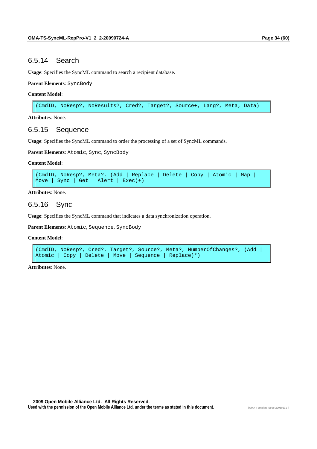### 6.5.14 Search

**Usage**: Specifies the SyncML command to search a recipient database.

**Parent Elements**: SyncBody

#### **Content Model**:

(CmdID, NoResp?, NoResults?, Cred?, Target?, Source+, Lang?, Meta, Data)

**Attributes**: None.

## 6.5.15 Sequence

**Usage**: Specifies the SyncML command to order the processing of a set of SyncML commands.

**Parent Elements**: Atomic, Sync, SyncBody

#### **Content Model**:

```
(CmdID, NoResp?, Meta?, (Add | Replace | Delete | Copy | Atomic | Map | 
Move | Sync | Get | Alert | Exec)+)
```
**Attributes**: None.

## 6.5.16 Sync

**Usage**: Specifies the SyncML command that indicates a data synchronization operation.

**Parent Elements**: Atomic, Sequence, SyncBody

#### **Content Model**:

```
(CmdID, NoResp?, Cred?, Target?, Source?, Meta?, NumberOfChanges?, (Add | 
Atomic | Copy | Delete | Move | Sequence | Replace)*)
```
**Attributes**: None.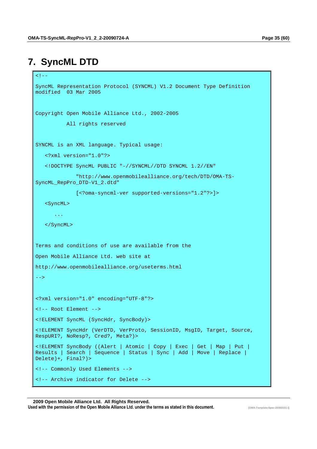# **7. SyncML DTD**

```
< ! - -SyncML Representation Protocol (SYNCML) V1.2 Document Type Definition 
modified 03 Mar 2005 
Copyright Open Mobile Alliance Ltd., 2002-2005 
           All rights reserved 
SYNCML is an XML language. Typical usage: 
    <?xml version="1.0"?> 
    <!DOCTYPE SyncML PUBLIC "-//SYNCML//DTD SYNCML 1.2//EN" 
              "http://www.openmobilealliance.org/tech/DTD/OMA-TS-
SyncML_RepPro_DTD-V1_2.dtd" 
              [<?oma-syncml-ver supported-versions="1.2"?>]> 
    <SyncML> 
       ... 
    </SyncML> 
Terms and conditions of use are available from the 
Open Mobile Alliance Ltd. web site at 
http://www.openmobilealliance.org/useterms.html 
--> 
<?xml version="1.0" encoding="UTF-8"?> 
<!-- Root Element --> 
<!ELEMENT SyncML (SyncHdr, SyncBody)> 
<!ELEMENT SyncHdr (VerDTD, VerProto, SessionID, MsgID, Target, Source, 
RespURI?, NoResp?, Cred?, Meta?)> 
<!ELEMENT SyncBody ((Alert | Atomic | Copy | Exec | Get | Map | Put | 
Results | Search | Sequence | Status | Sync | Add | Move | Replace | 
Delete)+, Final?)> 
<!-- Commonly Used Elements --> 
<!-- Archive indicator for Delete -->
```
#### **2009 Open Mobile Alliance Ltd. All Rights Reserved.** Used with the permission of the Open Mobile Alliance Ltd. under the terms as stated in this document.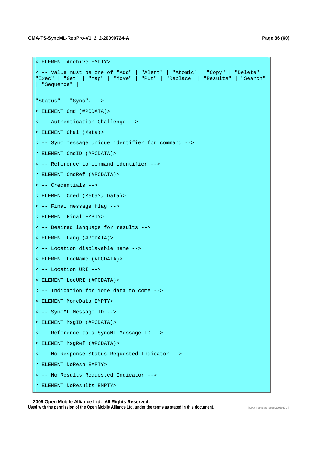```
<!ELEMENT Archive EMPTY> 
<!-- Value must be one of "Add" | "Alert" | "Atomic" | "Copy" | "Delete" | 
"Exec" | "Get" | "Map" | "Move" | "Put" | "Replace" | "Results" | "Search" 
| "Sequence" | 
"Status" | "Sync". --> 
<!ELEMENT Cmd (#PCDATA)> 
<!-- Authentication Challenge --> 
<!ELEMENT Chal (Meta)> 
<!-- Sync message unique identifier for command -->
<!ELEMENT CmdID (#PCDATA)> 
<!-- Reference to command identifier --> 
<!ELEMENT CmdRef (#PCDATA)> 
<!-- Credentials --> 
<!ELEMENT Cred (Meta?, Data)> 
<!-- Final message flag --> 
<!ELEMENT Final EMPTY> 
<!-- Desired language for results --> 
<!ELEMENT Lang (#PCDATA)> 
<!-- Location displayable name --> 
<!ELEMENT LocName (#PCDATA)> 
<!-- Location URI --> 
<!ELEMENT LocURI (#PCDATA)> 
<!-- Indication for more data to come --> 
<!ELEMENT MoreData EMPTY> 
<!-- SyncML Message ID --> 
<!ELEMENT MsgID (#PCDATA)> 
<!-- Reference to a SyncML Message ID --> 
<!ELEMENT MsgRef (#PCDATA)> 
<!-- No Response Status Requested Indicator --> 
<!ELEMENT NoResp EMPTY> 
<!-- No Results Requested Indicator --> 
<!ELEMENT NoResults EMPTY>
```
 **2009 Open Mobile Alliance Ltd. All Rights Reserved.** Used with the permission of the Open Mobile Alliance Ltd. under the terms as stated in this document.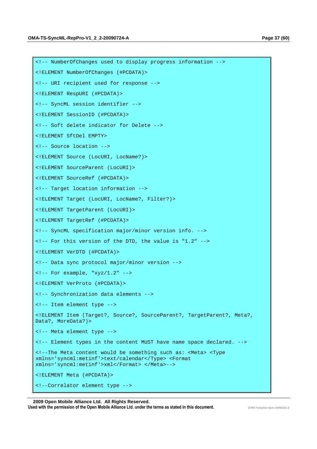<!ELEMENT NumberOfChanges (#PCDATA)>

<!-- URI recipient used for response -->

<!-- NumberOfChanges used to display progress information -->

<!ELEMENT RespURI (#PCDATA)> <!-- SyncML session identifier --> <!ELEMENT SessionID (#PCDATA)> <!-- Soft delete indicator for Delete --> <!ELEMENT SftDel EMPTY> <!-- Source location --> <!ELEMENT Source (LocURI, LocName?)> <!ELEMENT SourceParent (LocURI)> <!ELEMENT SourceRef (#PCDATA)> <!-- Target location information --> <!ELEMENT Target (LocURI, LocName?, Filter?)> <!ELEMENT TargetParent (LocURI)> <!ELEMENT TargetRef (#PCDATA)> <!-- SyncML specification major/minor version info. --> <!-- For this version of the DTD, the value is "1.2" --> <!ELEMENT VerDTD (#PCDATA)> <!-- Data sync protocol major/minor version -->  $\langle -1 - 2r \rangle$  = For example, "xyz/1.2" --> <!ELEMENT VerProto (#PCDATA)> <!-- Synchronization data elements --> <!-- Item element type --> <!ELEMENT Item (Target?, Source?, SourceParent?, TargetParent?, Meta?, Data?, MoreData?)> <!-- Meta element type --> <!-- Element types in the content MUST have name space declared. --> <!--The Meta content would be something such as: <Meta> <Type xmlns='syncml:metinf'>text/calendar</Type> <Format xmlns='syncml:metinf'>xml</Format> </Meta>--> <!ELEMENT Meta (#PCDATA)> <!--Correlator element type -->

#### **2009 Open Mobile Alliance Ltd. All Rights Reserved.**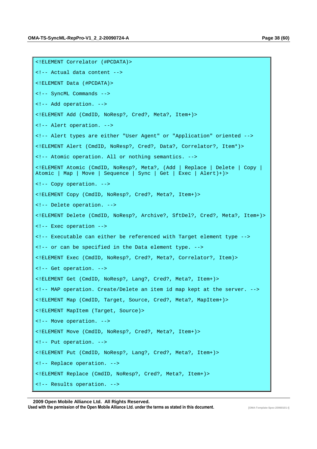```
<!ELEMENT Correlator (#PCDATA)> 
<!-- Actual data content --> 
<!ELEMENT Data (#PCDATA)> 
<!-- SyncML Commands --> 
<!-- Add operation. --> 
<!ELEMENT Add (CmdID, NoResp?, Cred?, Meta?, Item+)> 
<!-- Alert operation. --> 
<!-- Alert types are either "User Agent" or "Application" oriented --> 
<!ELEMENT Alert (CmdID, NoResp?, Cred?, Data?, Correlator?, Item*)> 
<!-- Atomic operation. All or nothing semantics. --> 
<!ELEMENT Atomic (CmdID, NoResp?, Meta?, (Add | Replace | Delete | Copy | 
Atomic | Map | Move | Sequence | Sync | Get | Exec | Alert)+)> 
<!-- Copy operation. --> 
<!ELEMENT Copy (CmdID, NoResp?, Cred?, Meta?, Item+)> 
<!-- Delete operation. --> 
<!ELEMENT Delete (CmdID, NoResp?, Archive?, SftDel?, Cred?, Meta?, Item+)> 
<!-- Exec operation --> 
<!-- Executable can either be referenced with Target element type --> 
<!-- or can be specified in the Data element type. --> 
<!ELEMENT Exec (CmdID, NoResp?, Cred?, Meta?, Correlator?, Item)> 
<!-- Get operation. --> 
<!ELEMENT Get (CmdID, NoResp?, Lang?, Cred?, Meta?, Item+)> 
<!-- MAP operation. Create/Delete an item id map kept at the server. --> 
<!ELEMENT Map (CmdID, Target, Source, Cred?, Meta?, MapItem+)> 
<!ELEMENT MapItem (Target, Source)> 
<!-- Move operation. --> 
<!ELEMENT Move (CmdID, NoResp?, Cred?, Meta?, Item+)> 
<!-- Put operation. --> 
<!ELEMENT Put (CmdID, NoResp?, Lang?, Cred?, Meta?, Item+)> 
<!-- Replace operation. --> 
<!ELEMENT Replace (CmdID, NoResp?, Cred?, Meta?, Item+)> 
<!-- Results operation. -->
```
 **2009 Open Mobile Alliance Ltd. All Rights Reserved.** Used with the permission of the Open Mobile Alliance Ltd. under the terms as stated in this document.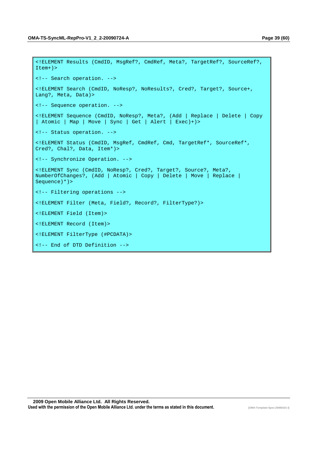```
<!ELEMENT Results (CmdID, MsgRef?, CmdRef, Meta?, TargetRef?, SourceRef?, 
Item+)> 
<!-- Search operation. --> 
<!ELEMENT Search (CmdID, NoResp?, NoResults?, Cred?, Target?, Source+, 
Lang?, Meta, Data)> 
<!-- Sequence operation. --> 
<!ELEMENT Sequence (CmdID, NoResp?, Meta?, (Add | Replace | Delete | Copy 
| Atomic | Map | Move | Sync | Get | Alert | Exec)+)> 
<!-- Status operation. --> 
<!ELEMENT Status (CmdID, MsgRef, CmdRef, Cmd, TargetRef*, SourceRef*, 
Cred?, Chal?, Data, Item*)> 
<!-- Synchronize Operation. --> 
<!ELEMENT Sync (CmdID, NoResp?, Cred?, Target?, Source?, Meta?, 
NumberOfChanges?, (Add | Atomic | Copy | Delete | Move | Replace | 
Sequence)*)> 
<!-- Filtering operations --> 
<!ELEMENT Filter (Meta, Field?, Record?, FilterType?)> 
<!ELEMENT Field (Item)> 
<!ELEMENT Record (Item)> 
<!ELEMENT FilterType (#PCDATA)> 
<!-- End of DTD Definition -->
```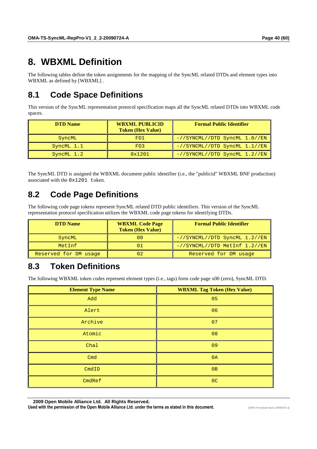# **8. WBXML Definition**

The following tables define the token assignments for the mapping of the SyncML related DTDs and element types into WBXML as defined by [WBXML] .

# **8.1 Code Space Definitions**

This version of the SyncML representation protocol specification maps all the SyncML related DTDs into WBXML code spaces.

| <b>DTD</b> Name | <b>WBXML PUBLICID</b><br><b>Token (Hex Value)</b> | <b>Formal Public Identifier</b>     |
|-----------------|---------------------------------------------------|-------------------------------------|
| SyncML          | FD1                                               | $-//SYNCML//DTD SyncML 1.0//EN$     |
| SyncML 1.1      | FD3                                               | $-$ //SYNCML//DTD SyncML $1.1$ //EN |
| $SyncML$ 1.2    | 0x1201                                            | $-$ //SYNCML//DTD SyncML $1.2$ //EN |

The SyncML DTD is assigned the WBXML document public identifier (i.e., the "publicid" WBXML BNF production) associated with the 0x1201 token.

# **8.2 Code Page Definitions**

The following code page tokens represent SyncML related DTD public identifiers. This version of the SyncML representation protocol specification utilizes the WBXML code page tokens for identifying DTDs.

| <b>DTD</b> Name       | <b>WBXML Code Page</b><br><b>Token (Hex Value)</b> | <b>Formal Public Identifier</b>     |
|-----------------------|----------------------------------------------------|-------------------------------------|
| SyncML                | 00                                                 | $-$ //SYNCML//DTD SyncML $1.2$ //EN |
| MetInf                | 01                                                 | -//SYNCML//DTD MetInf 1.2//EN       |
| Reserved for DM usage | 02                                                 | Reserved for DM usage               |

# **8.3 Token Definitions**

The following WBXML token codes represent element types (i.e., tags) form code page x00 (zero), SyncML DTD.

| <b>Element Type Name</b> | <b>WBXML Tag Token (Hex Value)</b> |
|--------------------------|------------------------------------|
| Add                      | 05                                 |
| Alert                    | 06                                 |
| Archive                  | 07                                 |
| Atomic                   | 08                                 |
| Chal                     | 09                                 |
| Cmd                      | 0A                                 |
| CmdID                    | 0B                                 |
| CmdRef                   | OC                                 |

 **2009 Open Mobile Alliance Ltd. All Rights Reserved.**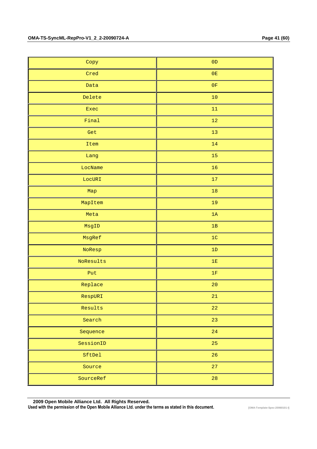| Copy      | $0\,\mathrm{D}$ |
|-----------|-----------------|
| Cred      | $0E$            |
| Data      | $0\,\mathrm{F}$ |
| Delete    | $10\,$          |
| Exec      | 11              |
| Final     | 12              |
| Get       | $13$            |
| Item      | $14$            |
| Lang      | $15\,$          |
| LocName   | 16              |
| LocURI    | $17\,$          |
| Map       | $18\,$          |
| MapItem   | 19              |
| Meta      | 1A              |
| MsgID     | $1\,\mathrm{B}$ |
| MsgRef    | $1C$            |
| NoResp    | $1\,\mathrm{D}$ |
| NoResults | $1\,\mathrm{E}$ |
| Put       | $1\mathrm{F}$   |
| Replace   | $20\,$          |
| RespURI   | 21              |
| Results   | 22              |
| Search    | 23              |
| Sequence  | 24              |
| SessionID | 25              |
| SftDel    | 26              |
| Source    | 27              |
| SourceRef | 28              |

 **2009 Open Mobile Alliance Ltd. All Rights Reserved.**

Used with the permission of the Open Mobile Alliance Ltd. under the terms as stated in this document. **[OMA-Template-Spec-20060101-I]**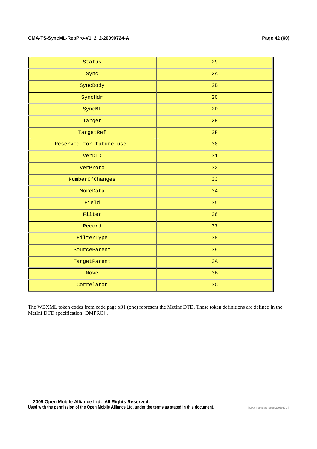| Status                   | 29             |
|--------------------------|----------------|
| Sync                     | 2A             |
| SyncBody                 | 2B             |
| SyncHdr                  | 2 <sub>C</sub> |
| SyncML                   | 2D             |
| Target                   | $2E$           |
| TargetRef                | 2F             |
| Reserved for future use. | 30             |
| VerDTD                   | 31             |
| VerProto                 | 32             |
| NumberOfChanges          | 33             |
| MoreData                 | 34             |
| Field                    | 35             |
| Filter                   | 36             |
| Record                   | 37             |
| FilterType               | 38             |
| SourceParent             | 39             |
| TargetParent             | 3A             |
| Move                     | 3B             |
| Correlator               | 3 <sub>C</sub> |

The WBXML token codes from code page x01 (one) represent the MetInf DTD. These token definitions are defined in the MetInf DTD specification [DMPRO] .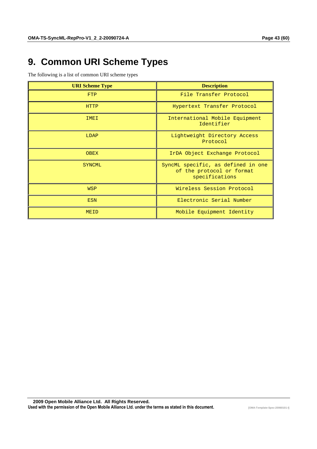# **9. Common URI Scheme Types**

The following is a list of common URI scheme types

| <b>URI Scheme Type</b> | <b>Description</b>                                                                |
|------------------------|-----------------------------------------------------------------------------------|
| <b>FTP</b>             | File Transfer Protocol                                                            |
| <b>HTTP</b>            | Hypertext Transfer Protocol                                                       |
| IMEI                   | International Mobile Equipment<br>Identifier                                      |
| LDAP                   | Lightweight Directory Access<br>Protocol                                          |
| <b>OBEX</b>            | IrDA Object Exchange Protocol                                                     |
| <b>SYNCML</b>          | SyncML specific, as defined in one<br>of the protocol or format<br>specifications |
| <b>WSP</b>             | Wireless Session Protocol                                                         |
| <b>ESN</b>             | Electronic Serial Number                                                          |
| MEID                   | Mobile Equipment Identity                                                         |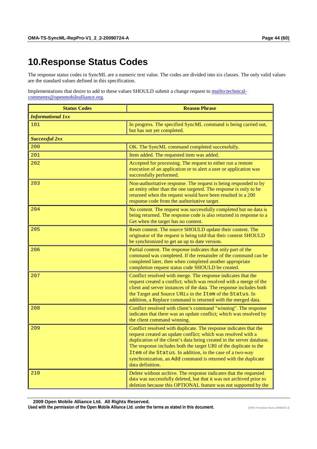# **10. Response Status Codes**

The response status codes in SyncML are a numeric text value. The codes are divided into six classes. The only valid values are the standard values defined in this specification.

Implementations that desire to add to these values SHOULD submit a change request to mailto:technicalcomments@openmobilealliance.org.

| <b>Status Codes</b>      | <b>Reason Phrase</b>                                                                                                                                                                                                                                                                                                                                                                                                                 |
|--------------------------|--------------------------------------------------------------------------------------------------------------------------------------------------------------------------------------------------------------------------------------------------------------------------------------------------------------------------------------------------------------------------------------------------------------------------------------|
| <b>Informational 1xx</b> |                                                                                                                                                                                                                                                                                                                                                                                                                                      |
| 101                      | In progress. The specified SyncML command is being carried out,<br>but has not yet completed.                                                                                                                                                                                                                                                                                                                                        |
| <b>Successful 2xx</b>    |                                                                                                                                                                                                                                                                                                                                                                                                                                      |
| 200                      | OK. The SyncML command completed successfully.                                                                                                                                                                                                                                                                                                                                                                                       |
| 201                      | Item added. The requested item was added.                                                                                                                                                                                                                                                                                                                                                                                            |
| 202                      | Accepted for processing. The request to either run a remote<br>execution of an application or to alert a user or application was<br>successfully performed.                                                                                                                                                                                                                                                                          |
| 203                      | Non-authoritative response. The request is being responded to by<br>an entity other than the one targeted. The response is only to be<br>returned when the request would have been resulted in a 200<br>response code from the authoritative target.                                                                                                                                                                                 |
| 204                      | No content. The request was successfully completed but no data is<br>being returned. The response code is also returned in response to a<br>Get when the target has no content.                                                                                                                                                                                                                                                      |
| 205                      | Reset content. The source SHOULD update their content. The<br>originator of the request is being told that their content SHOULD<br>be synchronized to get an up to date version.                                                                                                                                                                                                                                                     |
| 206                      | Partial content. The response indicates that only part of the<br>command was completed. If the remainder of the command can be<br>completed later, then when completed another appropriate<br>completion request status code SHOULD be created.                                                                                                                                                                                      |
| 207                      | Conflict resolved with merge. The response indicates that the<br>request created a conflict; which was resolved with a merge of the<br>client and server instances of the data. The response includes both<br>the Target and Source URLs in the Item of the Status. In<br>addition, a Replace command is returned with the merged data.                                                                                              |
| 208                      | Conflict resolved with client's command "winning". The response<br>indicates that there was an update conflict; which was resolved by<br>the client command winning.                                                                                                                                                                                                                                                                 |
| 209                      | Conflict resolved with duplicate. The response indicates that the<br>request created an update conflict; which was resolved with a<br>duplication of the client's data being created in the server database.<br>The response includes both the target URI of the duplicate in the<br>Item of the Status. In addition, in the case of a two-way<br>synchronization, an Add command is returned with the duplicate<br>data definition. |
| 210                      | Delete without archive. The response indicates that the requested<br>data was successfully deleted, but that it was not archived prior to<br>deletion because this OPTIONAL feature was not supported by the                                                                                                                                                                                                                         |

 **2009 Open Mobile Alliance Ltd. All Rights Reserved.** Used with the permission of the Open Mobile Alliance Ltd. under the terms as stated in this document. **[OMA-Template-Spec-20060101-I]**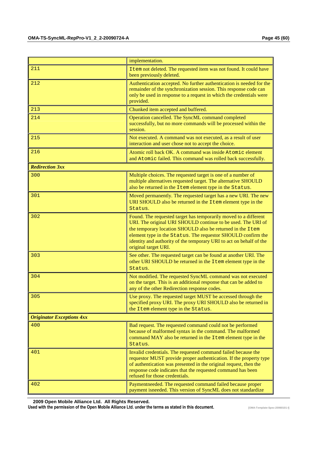|                                  | implementation.                                                                                                                                                                                                                                                                                                                                               |  |
|----------------------------------|---------------------------------------------------------------------------------------------------------------------------------------------------------------------------------------------------------------------------------------------------------------------------------------------------------------------------------------------------------------|--|
| 211                              | Item not deleted. The requested item was not found. It could have<br>been previously deleted.                                                                                                                                                                                                                                                                 |  |
| 212                              | Authentication accepted. No further authentication is needed for the<br>remainder of the synchronization session. This response code can<br>only be used in response to a request in which the credentials were<br>provided.                                                                                                                                  |  |
| 213                              | Chunked item accepted and buffered.                                                                                                                                                                                                                                                                                                                           |  |
| 214                              | Operation cancelled. The SyncML command completed<br>successfully, but no more commands will be processed within the<br>session.                                                                                                                                                                                                                              |  |
| 215                              | Not executed. A command was not executed, as a result of user<br>interaction and user chose not to accept the choice.                                                                                                                                                                                                                                         |  |
| 216                              | Atomic roll back OK. A command was inside Atomic element<br>and Atomic failed. This command was rolled back successfully.                                                                                                                                                                                                                                     |  |
| <b>Redirection 3xx</b>           |                                                                                                                                                                                                                                                                                                                                                               |  |
| 300                              | Multiple choices. The requested target is one of a number of<br>multiple alternatives requested target. The alternative SHOULD<br>also be returned in the Item element type in the Status.                                                                                                                                                                    |  |
| 301                              | Moved permanently. The requested target has a new URI. The new<br>URI SHOULD also be returned in the Item element type in the<br>Status.                                                                                                                                                                                                                      |  |
| 302                              | Found. The requested target has temporarily moved to a different<br>URI. The original URI SHOULD continue to be used. The URI of<br>the temporary location SHOULD also be returned in the Item<br>element type in the Status. The requestor SHOULD confirm the<br>identity and authority of the temporary URI to act on behalf of the<br>original target URI. |  |
| 303                              | See other. The requested target can be found at another URI. The<br>other URI SHOULD be returned in the Item element type in the<br>Status.                                                                                                                                                                                                                   |  |
| 304                              | Not modified. The requested SyncML command was not executed<br>on the target. This is an additional response that can be added to<br>any of the other Redirection response codes.                                                                                                                                                                             |  |
| 305                              | Use proxy. The requested target MUST be accessed through the<br>specified proxy URI. The proxy URI SHOULD also be returned in<br>the Item element type in the Status.                                                                                                                                                                                         |  |
| <b>Originator Exceptions 4xx</b> |                                                                                                                                                                                                                                                                                                                                                               |  |
| 400                              | Bad request. The requested command could not be performed<br>because of malformed syntax in the command. The malformed<br>command MAY also be returned in the Item element type in the<br>Status.                                                                                                                                                             |  |
| 401                              | Invalid credentials. The requested command failed because the<br>requestor MUST provide proper authentication. If the property type<br>of authentication was presented in the original request, then the<br>response code indicates that the requested command has been<br>refused for those credentials.                                                     |  |
| 402                              | Paymentneeded. The requested command failed because proper<br>payment isneeded. This version of SyncML does not standardize                                                                                                                                                                                                                                   |  |

 **2009 Open Mobile Alliance Ltd. All Rights Reserved.**

Used with the permission of the Open Mobile Alliance Ltd. under the terms as stated in this document. **[OMA-Template-Spec-20060101-I]**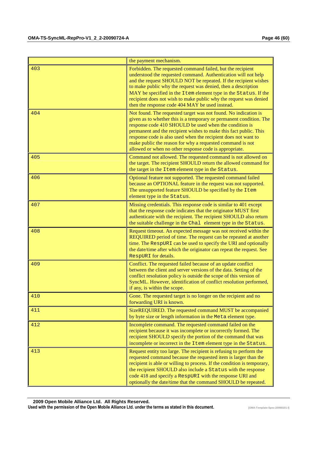|     | the payment mechanism.                                                                                                                                                                                                                                                                                                                                                                                                                                         |
|-----|----------------------------------------------------------------------------------------------------------------------------------------------------------------------------------------------------------------------------------------------------------------------------------------------------------------------------------------------------------------------------------------------------------------------------------------------------------------|
| 403 | Forbidden. The requested command failed, but the recipient<br>understood the requested command. Authentication will not help<br>and the request SHOULD NOT be repeated. If the recipient wishes<br>to make public why the request was denied, then a description<br>MAY be specified in the Item element type in the Status. If the<br>recipient does not wish to make public why the request was denied<br>then the response code 404 MAY be used instead.    |
| 404 | Not found. The requested target was not found. No indication is<br>given as to whether this is a temporary or permanent condition. The<br>response code 410 SHOULD be used when the condition is<br>permanent and the recipient wishes to make this fact public. This<br>response code is also used when the recipient does not want to<br>make public the reason for why a requested command is not<br>allowed or when no other response code is appropriate. |
| 405 | Command not allowed. The requested command is not allowed on<br>the target. The recipient SHOULD return the allowed command for<br>the target in the Item element type in the Status.                                                                                                                                                                                                                                                                          |
| 406 | Optional feature not supported. The requested command failed<br>because an OPTIONAL feature in the request was not supported.<br>The unsupported feature SHOULD be specified by the Item<br>element type in the Status.                                                                                                                                                                                                                                        |
| 407 | Missing credentials. This response code is similar to 401 except<br>that the response code indicates that the originator MUST first<br>authenticate with the recipient. The recipient SHOULD also return<br>the suitable challenge in the Chal element type in the Status.                                                                                                                                                                                     |
| 408 | Request timeout. An expected message was not received within the<br>REQUIRED period of time. The request can be repeated at another<br>time. The RespURI can be used to specify the URI and optionally<br>the date/time after which the originator can repeat the request. See<br>RespURI for details.                                                                                                                                                         |
| 409 | Conflict. The requested failed because of an update conflict<br>between the client and server versions of the data. Setting of the<br>conflict resolution policy is outside the scope of this version of<br>SyncML. However, identification of conflict resolution performed,<br>if any, is within the scope.                                                                                                                                                  |
| 410 | Gone. The requested target is no longer on the recipient and no<br>forwarding URI is known.                                                                                                                                                                                                                                                                                                                                                                    |
| 411 | SizeREQUIRED. The requested command MUST be accompanied<br>by byte size or length information in the Meta element type.                                                                                                                                                                                                                                                                                                                                        |
| 412 | Incomplete command. The requested command failed on the<br>recipient because it was incomplete or incorrectly formed. The<br>recipient SHOULD specify the portion of the command that was<br>incomplete or incorrect in the Item element type in the Status.                                                                                                                                                                                                   |
| 413 | Request entity too large. The recipient is refusing to perform the<br>requested command because the requested item is larger than the<br>recipient is able or willing to process. If the condition is temporary,<br>the recipient SHOULD also include a Status with the response<br>code 418 and specify a RespURI with the response URI and<br>optionally the date/time that the command SHOULD be repeated.                                                  |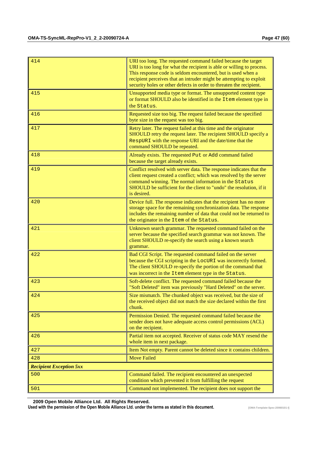| 414 | URI too long. The requested command failed because the target<br>URI is too long for what the recipient is able or willing to process.<br>This response code is seldom encountered, but is used when a<br>recipient perceives that an intruder might be attempting to exploit<br>security holes or other defects in order to threaten the recipient. |
|-----|------------------------------------------------------------------------------------------------------------------------------------------------------------------------------------------------------------------------------------------------------------------------------------------------------------------------------------------------------|
| 415 | Unsupported media type or format. The unsupported content type<br>or format SHOULD also be identified in the Item element type in<br>the Status.                                                                                                                                                                                                     |
| 416 | Requested size too big. The request failed because the specified<br>byte size in the request was too big.                                                                                                                                                                                                                                            |
| 417 | Retry later. The request failed at this time and the originator<br>SHOULD retry the request later. The recipient SHOULD specify a<br>RespURI with the response URI and the date/time that the<br>command SHOULD be repeated.                                                                                                                         |
| 418 | Already exists. The requested Put or Add command failed<br>because the target already exists.                                                                                                                                                                                                                                                        |
| 419 | Conflict resolved with server data. The response indicates that the<br>client request created a conflict; which was resolved by the server<br>command winning. The normal information in the Status<br>SHOULD be sufficient for the client to "undo" the resolution, if it<br>is desired.                                                            |
| 420 | Device full. The response indicates that the recipient has no more<br>storage space for the remaining synchronization data. The response<br>includes the remaining number of data that could not be returned to<br>the originator in the Item of the Status.                                                                                         |
| 421 | Unknown search grammar. The requested command failed on the<br>server because the specified search grammar was not known. The<br>client SHOULD re-specify the search using a known search<br>grammar.                                                                                                                                                |
| 422 | Bad CGI Script. The requested command failed on the server<br>because the CGI scripting in the LOCURI was incorrectly formed.<br>The client SHOULD re-specify the portion of the command that<br>was incorrect in the Item element type in the Status.                                                                                               |
| 423 | Soft-delete conflict. The requested command failed because the<br>"Soft Deleted" item was previously "Hard Deleted" on the server.                                                                                                                                                                                                                   |
| 424 | Size mismatch. The chunked object was received, but the size of<br>the received object did not match the size declared within the first<br>chunk.                                                                                                                                                                                                    |
| 425 | Permission Denied. The requested command failed because the<br>sender does not have adequate access control permissions (ACL)<br>on the recipient.                                                                                                                                                                                                   |
| 426 | Partial item not accepted. Receiver of status code MAY resend the<br>whole item in next package.                                                                                                                                                                                                                                                     |
|     |                                                                                                                                                                                                                                                                                                                                                      |
| 427 | Item Not empty. Parent cannot be deleted since it contains children.                                                                                                                                                                                                                                                                                 |

 **2009 Open Mobile Alliance Ltd. All Rights Reserved.**

Used with the permission of the Open Mobile Alliance Ltd. under the terms as stated in this document. **[OMA-Template-Spec-20060101-I]**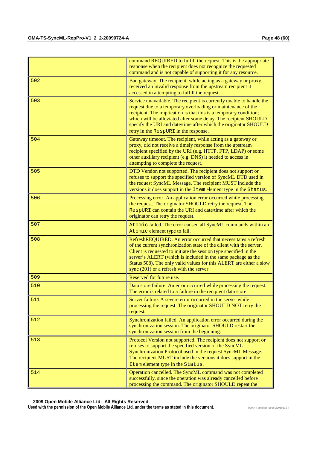|     | command REQUIRED to fulfill the request. This is the appropriate<br>response when the recipient does not recognize the requested<br>command and is not capable of supporting it for any resource.                                                                                                                                                                                             |
|-----|-----------------------------------------------------------------------------------------------------------------------------------------------------------------------------------------------------------------------------------------------------------------------------------------------------------------------------------------------------------------------------------------------|
| 502 | Bad gateway. The recipient, while acting as a gateway or proxy,<br>received an invalid response from the upstream recipient it<br>accessed in attempting to fulfill the request.                                                                                                                                                                                                              |
| 503 | Service unavailable. The recipient is currently unable to handle the<br>request due to a temporary overloading or maintenance of the<br>recipient. The implication is that this is a temporary condition;<br>which will be alleviated after some delay. The recipient SHOULD<br>specify the URI and date/time after which the originator SHOULD<br>retry in the RespURI in the response.      |
| 504 | Gateway timeout. The recipient, while acting as a gateway or<br>proxy, did not receive a timely response from the upstream<br>recipient specified by the URI (e.g. HTTP, FTP, LDAP) or some<br>other auxiliary recipient (e.g. DNS) it needed to access in<br>attempting to complete the request.                                                                                             |
| 505 | DTD Version not supported. The recipient does not support or<br>refuses to support the specified version of SyncML DTD used in<br>the request SyncML Message. The recipient MUST include the<br>versions it does support in the Item element type in the Status.                                                                                                                              |
| 506 | Processing error. An application error occurred while processing<br>the request. The originator SHOULD retry the request. The<br>RespURI can contain the URI and date/time after which the<br>originator can retry the request.                                                                                                                                                               |
| 507 | Atomic failed. The error caused all SyncML commands within an<br>Atomic element type to fail.                                                                                                                                                                                                                                                                                                 |
| 508 | RefreshREQUIRED. An error occurred that necessitates a refresh<br>of the current synchronization state of the client with the server.<br>Client is requested to initiate the session type specified in the<br>server's ALERT (which is included in the same package as the<br>Status 508). The only valid values for this ALERT are either a slow<br>sync (201) or a refresh with the server. |
| 509 | Reserved for future use.                                                                                                                                                                                                                                                                                                                                                                      |
| 510 | Data store failure. An error occurred while processing the request.<br>The error is related to a failure in the recipient data store.                                                                                                                                                                                                                                                         |
| 511 | Server failure. A severe error occurred in the server while<br>processing the request. The originator SHOULD NOT retry the<br>request.                                                                                                                                                                                                                                                        |
| 512 | Synchronization failed. An application error occurred during the<br>synchronization session. The originator SHOULD restart the<br>synchronization session from the beginning.                                                                                                                                                                                                                 |
| 513 | Protocol Version not supported. The recipient does not support or<br>refuses to support the specified version of the SyncML<br>Synchronization Protocol used in the request SyncML Message.<br>The recipient MUST include the versions it does support in the<br>Item element type in the Status.                                                                                             |
| 514 | Operation cancelled. The SyncML command was not completed<br>successfully, since the operation was already cancelled before<br>processing the command. The originator SHOULD repeat the                                                                                                                                                                                                       |

 **2009 Open Mobile Alliance Ltd. All Rights Reserved.** Used with the permission of the Open Mobile Alliance Ltd. under the terms as stated in this document. **[OMA-Template-Spec-20060101-I]**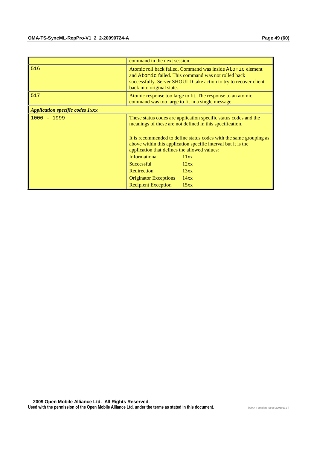|                                        | command in the next session.                                                                                                                                                                                       |      |  |  |  |
|----------------------------------------|--------------------------------------------------------------------------------------------------------------------------------------------------------------------------------------------------------------------|------|--|--|--|
| 516                                    | Atomic roll back failed. Command was inside Atomic element<br>and Atomic failed. This command was not rolled back<br>successfully. Server SHOULD take action to try to recover client<br>back into original state. |      |  |  |  |
| 517                                    | Atomic response too large to fit. The response to an atomic<br>command was too large to fit in a single message.                                                                                                   |      |  |  |  |
| <b>Application specific codes 1xxx</b> |                                                                                                                                                                                                                    |      |  |  |  |
| $1000 - 1999$                          | These status codes are application specific status codes and the<br>meanings of these are not defined in this specification.                                                                                       |      |  |  |  |
|                                        | It is recommended to define status codes with the same grouping as<br>above within this application specific interval but it is the<br>application that defines the allowed values:                                |      |  |  |  |
|                                        | <b>Informational</b>                                                                                                                                                                                               | 11xx |  |  |  |
|                                        | <b>Successful</b>                                                                                                                                                                                                  | 12xx |  |  |  |
|                                        | Redirection                                                                                                                                                                                                        | 13xx |  |  |  |
|                                        | <b>Originator Exceptions</b>                                                                                                                                                                                       | 14xx |  |  |  |
|                                        | <b>Recipient Exception</b>                                                                                                                                                                                         | 15xx |  |  |  |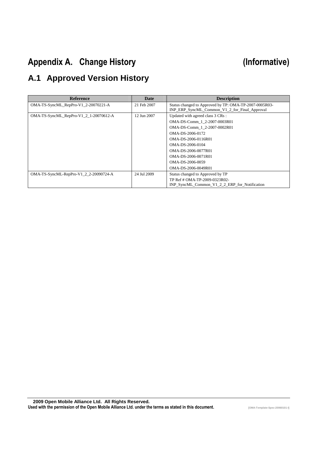# Appendix A. Change History **Example 20 and Separative** (Informative)

# **A.1 Approved Version History**

| <b>Reference</b>                          | Date        | <b>Description</b>                                                                                      |
|-------------------------------------------|-------------|---------------------------------------------------------------------------------------------------------|
| OMA-TS-SyncML_RepPro-V1_2-20070221-A      | 21 Feb 2007 | Status changed to Approved by TP: OMA-TP-2007-0005R03-<br>INP ERP SyncML Common V1 2 for Final Approval |
| $OMA-TS-SyncML\_RepPro-V1_2_1-20070612-A$ | 12 Jun 2007 | Updated with agreed class 3 CRs :                                                                       |
|                                           |             | OMA-DS-Comm 1 2-2007-0003R01                                                                            |
|                                           |             | OMA-DS-Comm 1 2-2007-0002R01                                                                            |
|                                           |             | OMA-DS-2006-0172                                                                                        |
|                                           |             | OMA-DS-2006-0116R01                                                                                     |
|                                           |             | OMA-DS-2006-0104                                                                                        |
|                                           |             | OMA-DS-2006-0077R01                                                                                     |
|                                           |             | OMA-DS-2006-0071R01                                                                                     |
|                                           |             | OMA-DS-2006-0059                                                                                        |
|                                           |             | OMA-DS-2006-0049R01                                                                                     |
| OMA-TS-SyncML-RepPro-V1_2_2-20090724-A    | 24 Jul 2009 | Status changed to Approved by TP                                                                        |
|                                           |             | TP Ref # OMA-TP-2009-0323R02-                                                                           |
|                                           |             | INP SyncML Common V1 2 2 ERP for Notification                                                           |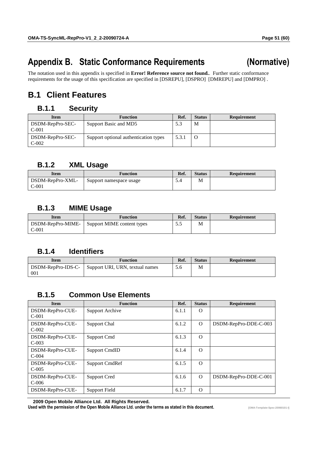# Appendix B. Static Conformance Requirements (Normative)

The notation used in this appendix is specified in **Error! Reference source not found.**. Further static conformance requirements for the usage of this specification are specified in [DSREPU], [DSPRO] [DMREPU] and [DMPRO] .

# **B.1 Client Features**

## **B.1.1 Security**

| <b>Item</b>                 | <b>Function</b>                       | Ref.  | <b>Status</b> | <b>Requirement</b> |
|-----------------------------|---------------------------------------|-------|---------------|--------------------|
| DSDM-RepPro-SEC-<br>$C-001$ | Support Basic and MD5                 | 5.3   | M             |                    |
| DSDM-RepPro-SEC-<br>$C-002$ | Support optional authentication types | 5.3.1 |               |                    |

## **B.1.2 XML Usage**

| Item             | <b>Function</b>         | Ref. | <b>Status</b> | Requirement |
|------------------|-------------------------|------|---------------|-------------|
| DSDM-RepPro-XML- | Support namespace usage | D.4  | Μ             |             |
| $C-001$          |                         |      |               |             |

## **B.1.3 MIME Usage**

| Item                         | <b>Function</b>            | Ref. | <b>Status</b> | Requirement |
|------------------------------|----------------------------|------|---------------|-------------|
| DSDM-RepPro-MIME-<br>$C-001$ | Support MIME content types | ن ر  | M             |             |

## **B.1.4 Identifiers**

| Item               | Function                        | Ref. | <b>Status</b> | Requirement |
|--------------------|---------------------------------|------|---------------|-------------|
| DSDM-RepPro-IDS-C- | Support URI, URN, textual names | 5.6  | М             |             |
| 001                |                                 |      |               |             |

## **B.1.5 Common Use Elements**

| <b>Item</b>                  | <b>Function</b>      | Ref.  | <b>Status</b> | Requirement           |
|------------------------------|----------------------|-------|---------------|-----------------------|
| DSDM-RepPro-CUE-<br>$C-001$  | Support Archive      | 6.1.1 | $\Omega$      |                       |
| DSDM-RepPro-CUE-<br>$C-002$  | <b>Support Chal</b>  | 6.1.2 | $\Omega$      | DSDM-RepPro-DDE-C-003 |
| DSDM-RepPro-CUE-<br>$C-003$  | Support Cmd          | 6.1.3 | $\Omega$      |                       |
| DSDM-RepPro-CUE-<br>$C-0.04$ | <b>Support CmdID</b> | 6.1.4 | $\Omega$      |                       |
| DSDM-RepPro-CUE-<br>$C-005$  | Support CmdRef       | 6.1.5 | $\Omega$      |                       |
| DSDM-RepPro-CUE-<br>$C-006$  | Support Cred         | 6.1.6 | $\Omega$      | DSDM-RepPro-DDE-C-001 |
| DSDM-RepPro-CUE-             | Support Field        | 6.1.7 | $\Omega$      |                       |

 **2009 Open Mobile Alliance Ltd. All Rights Reserved.**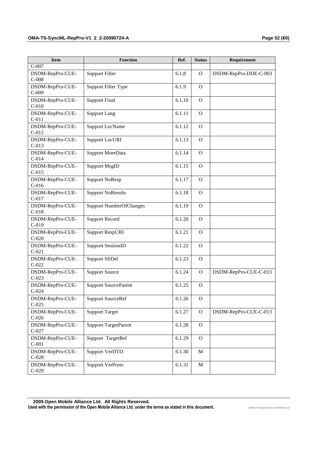| <b>Item</b>                 | <b>Function</b>                | Ref.   | <b>Status</b> | Requirement           |
|-----------------------------|--------------------------------|--------|---------------|-----------------------|
| $C-007$                     |                                |        |               |                       |
| DSDM-RepPro-CUE-<br>$C-008$ | <b>Support Filter</b>          | 6.1.8  | $\mathbf{O}$  | DSDM-RepPro-DDE-C-003 |
|                             |                                |        |               |                       |
| DSDM-RepPro-CUE-<br>$C-009$ | <b>Support Filter Type</b>     | 6.1.9  | $\Omega$      |                       |
| DSDM-RepPro-CUE-            | <b>Support Final</b>           | 6.1.10 | $\Omega$      |                       |
| $C-010$                     |                                |        |               |                       |
| DSDM-RepPro-CUE-<br>$C-011$ | <b>Support Lang</b>            | 6.1.11 | $\Omega$      |                       |
| DSDM-RepPro-CUE-            |                                | 6.1.12 | $\Omega$      |                       |
| $C-012$                     | <b>Support LocName</b>         |        |               |                       |
| DSDM-RepPro-CUE-<br>$C-013$ | <b>Support LocURI</b>          | 6.1.13 | $\mathbf{O}$  |                       |
| DSDM-RepPro-CUE-<br>$C-014$ | Support MoreData               | 6.1.14 | $\Omega$      |                       |
| DSDM-RepPro-CUE-<br>$C-015$ | <b>Support MsgID</b>           | 6.1.15 | $\mathbf{O}$  |                       |
| DSDM-RepPro-CUE-<br>$C-016$ | <b>Support NoResp</b>          | 6.1.17 | $\Omega$      |                       |
| DSDM-RepPro-CUE-<br>$C-017$ | <b>Support NoResults</b>       | 6.1.18 | $\mathbf{O}$  |                       |
| DSDM-RepPro-CUE-<br>$C-018$ | <b>Support NumberOfChanges</b> | 6.1.19 | $\Omega$      |                       |
| DSDM-RepPro-CUE-<br>$C-019$ | <b>Support Record</b>          | 6.1.20 | $\Omega$      |                       |
| DSDM-RepPro-CUE-<br>$C-020$ | <b>Support RespURI</b>         | 6.1.21 | $\Omega$      |                       |
| DSDM-RepPro-CUE-<br>$C-021$ | <b>Support SessionID</b>       | 6.1.22 | $\mathbf{O}$  |                       |
| DSDM-RepPro-CUE-<br>$C-022$ | Support SftDel                 | 6.1.23 | $\Omega$      |                       |
| DSDM-RepPro-CUE-<br>$C-023$ | <b>Support Source</b>          | 6.1.24 | $\mathbf{O}$  | DSDM-RepPro-CUE-C-013 |
| DSDM-RepPro-CUE-<br>$C-024$ | <b>Support SourceParent</b>    | 6.1.25 | $\Omega$      |                       |
| DSDM-RepPro-CUE-<br>$C-025$ | <b>Support SourceRef</b>       | 6.1.26 | $\circ$       |                       |
| DSDM-RepPro-CUE-<br>$C-026$ | <b>Support Target</b>          | 6.1.27 | $\mathbf{O}$  | DSDM-RepPro-CUE-C-013 |
| DSDM-RepPro-CUE-<br>$C-027$ | <b>Support TargetParent</b>    | 6.1.28 | $\mathbf{O}$  |                       |
| DSDM-RepPro-CUE-<br>$C-001$ | Support TargetRef              | 6.1.29 | $\mathbf{O}$  |                       |
| DSDM-RepPro-CUE-<br>$C-028$ | <b>Support VerDTD</b>          | 6.1.30 | $\mathbf M$   |                       |
| DSDM-RepPro-CUE-            | Support VerProto               | 6.1.31 | $\mathbf M$   |                       |

 **2009 Open Mobile Alliance Ltd. All Rights Reserved.** Used with the permission of the Open Mobile Alliance Ltd. under the terms as stated in this document.

C-029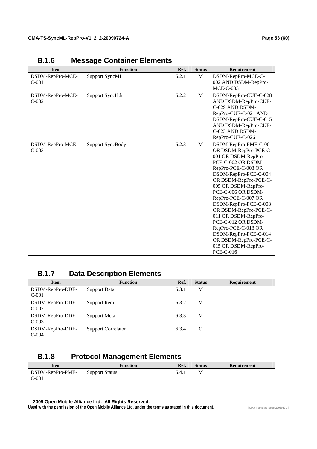| <b>Item</b>                 | <b>Function</b>         | Ref.  | <b>Status</b> | Requirement                                                                                                                                                                                                                                                                                                                                                                                                                                                 |
|-----------------------------|-------------------------|-------|---------------|-------------------------------------------------------------------------------------------------------------------------------------------------------------------------------------------------------------------------------------------------------------------------------------------------------------------------------------------------------------------------------------------------------------------------------------------------------------|
| DSDM-RepPro-MCE-<br>$C-001$ | <b>Support SyncML</b>   | 6.2.1 | M             | DSDM-RepPro-MCE-C-<br>002 AND DSDM-RepPro-<br>$MCE-C-003$                                                                                                                                                                                                                                                                                                                                                                                                   |
| DSDM-RepPro-MCE-<br>$C-002$ | Support SyncHdr         | 6.2.2 | M             | DSDM-RepPro-CUE-C-028<br>AND DSDM-RepPro-CUE-<br>C-029 AND DSDM-<br>RepPro-CUE-C-021 AND<br>DSDM-RepPro-CUE-C-015<br>AND DSDM-RepPro-CUE-<br>C-023 AND DSDM-<br>RepPro-CUE-C-026                                                                                                                                                                                                                                                                            |
| DSDM-RepPro-MCE-<br>$C-003$ | <b>Support SyncBody</b> | 6.2.3 | M             | DSDM-RepPro-PME-C-001<br>OR DSDM-RepPro-PCE-C-<br>001 OR DSDM-RepPro-<br>PCE-C-002 OR DSDM-<br>RepPro-PCE-C-003 OR<br>DSDM-RepPro-PCE-C-004<br>OR DSDM-RepPro-PCE-C-<br>005 OR DSDM-RepPro-<br>PCE-C-006 OR DSDM-<br>RepPro-PCE-C-007 OR<br>DSDM-RepPro-PCE-C-008<br>OR DSDM-RepPro-PCE-C-<br>011 OR DSDM-RepPro-<br>PCE-C-012 OR DSDM-<br>RepPro-PCE-C-013 OR<br>DSDM-RepPro-PCE-C-014<br>OR DSDM-RepPro-PCE-C-<br>015 OR DSDM-RepPro-<br><b>PCE-C-016</b> |

## **B.1.6 Message Container Elements**

## **B.1.7 Data Description Elements**

| <b>Item</b>                 | <b>Function</b>           | Ref.  | <b>Status</b> | Requirement |
|-----------------------------|---------------------------|-------|---------------|-------------|
| DSDM-RepPro-DDE-<br>$C-001$ | Support Data              | 6.3.1 | M             |             |
| DSDM-RepPro-DDE-<br>$C-002$ | Support Item              | 6.3.2 | M             |             |
| DSDM-RepPro-DDE-<br>$C-003$ | Support Meta              | 6.3.3 | M             |             |
| DSDM-RepPro-DDE-<br>$C-004$ | <b>Support Correlator</b> | 6.3.4 | $\Omega$      |             |

## **B.1.8 Protocol Management Elements**

| Item                        | Function              | Ref.  | <b>Status</b> | Requirement |
|-----------------------------|-----------------------|-------|---------------|-------------|
| DSDM-RepPro-PME-<br>$C-001$ | <b>Support Status</b> | 6.4.1 | М             |             |

 **2009 Open Mobile Alliance Ltd. All Rights Reserved.**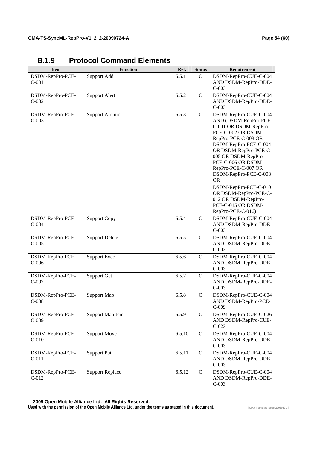| <b>Item</b>                 | <b>Function</b>        | Ref.   | <b>Status</b> | Requirement                                                                                                                                                                                                                                                                                                                                                                                          |
|-----------------------------|------------------------|--------|---------------|------------------------------------------------------------------------------------------------------------------------------------------------------------------------------------------------------------------------------------------------------------------------------------------------------------------------------------------------------------------------------------------------------|
| DSDM-RepPro-PCE-<br>$C-001$ | Support Add            | 6.5.1  | $\mathbf{O}$  | DSDM-RepPro-CUE-C-004<br>AND DSDM-RepPro-DDE-<br>$C-003$                                                                                                                                                                                                                                                                                                                                             |
| DSDM-RepPro-PCE-<br>$C-002$ | <b>Support Alert</b>   | 6.5.2  | $\mathbf{O}$  | DSDM-RepPro-CUE-C-004<br>AND DSDM-RepPro-DDE-<br>$C-003$                                                                                                                                                                                                                                                                                                                                             |
| DSDM-RepPro-PCE-<br>$C-003$ | Support Atomic         | 6.5.3  | $\mathcal{O}$ | DSDM-RepPro-CUE-C-004<br>AND (DSDM-RepPro-PCE-<br>C-001 OR DSDM-RepPro-<br>PCE-C-002 OR DSDM-<br>RepPro-PCE-C-003 OR<br>DSDM-RepPro-PCE-C-004<br>OR DSDM-RepPro-PCE-C-<br>005 OR DSDM-RepPro-<br>PCE-C-006 OR DSDM-<br>RepPro-PCE-C-007 OR<br>DSDM-RepPro-PCE-C-008<br><b>OR</b><br>DSDM-RepPro-PCE-C-010<br>OR DSDM-RepPro-PCE-C-<br>012 OR DSDM-RepPro-<br>PCE-C-015 OR DSDM-<br>RepPro-PCE-C-016) |
| DSDM-RepPro-PCE-<br>$C-004$ | <b>Support Copy</b>    | 6.5.4  | $\mathbf O$   | DSDM-RepPro-CUE-C-004<br>AND DSDM-RepPro-DDE-<br>$C-003$                                                                                                                                                                                                                                                                                                                                             |
| DSDM-RepPro-PCE-<br>$C-005$ | <b>Support Delete</b>  | 6.5.5  | $\mathbf{O}$  | DSDM-RepPro-CUE-C-004<br>AND DSDM-RepPro-DDE-<br>$C-003$                                                                                                                                                                                                                                                                                                                                             |
| DSDM-RepPro-PCE-<br>$C-006$ | <b>Support Exec</b>    | 6.5.6  | $\mathbf{O}$  | DSDM-RepPro-CUE-C-004<br>AND DSDM-RepPro-DDE-<br>$C-003$                                                                                                                                                                                                                                                                                                                                             |
| DSDM-RepPro-PCE-<br>$C-007$ | Support Get            | 6.5.7  | $\mathbf{O}$  | DSDM-RepPro-CUE-C-004<br>AND DSDM-RepPro-DDE-<br>$C-003$                                                                                                                                                                                                                                                                                                                                             |
| DSDM-RepPro-PCE-<br>$C-008$ | Support Map            | 6.5.8  | $\mathbf{O}$  | DSDM-RepPro-CUE-C-004<br>AND DSDM-RepPro-PCE-<br>$C-009$                                                                                                                                                                                                                                                                                                                                             |
| DSDM-RepPro-PCE-<br>$C-009$ | <b>Support MapItem</b> | 6.5.9  | $\mathbf{O}$  | DSDM-RepPro-CUE-C-026<br>AND DSDM-RepPro-CUE-<br>$C-023$                                                                                                                                                                                                                                                                                                                                             |
| DSDM-RepPro-PCE-<br>$C-010$ | <b>Support Move</b>    | 6.5.10 | $\mathbf{O}$  | DSDM-RepPro-CUE-C-004<br>AND DSDM-RepPro-DDE-<br>$C-003$                                                                                                                                                                                                                                                                                                                                             |
| DSDM-RepPro-PCE-<br>$C-011$ | <b>Support Put</b>     | 6.5.11 | $\mathbf O$   | DSDM-RepPro-CUE-C-004<br>AND DSDM-RepPro-DDE-<br>$C-003$                                                                                                                                                                                                                                                                                                                                             |
| DSDM-RepPro-PCE-<br>$C-012$ | <b>Support Replace</b> | 6.5.12 | $\mathbf{O}$  | DSDM-RepPro-CUE-C-004<br>AND DSDM-RepPro-DDE-<br>$C-003$                                                                                                                                                                                                                                                                                                                                             |

## **B.1.9 Protocol Command Elements**

 **2009 Open Mobile Alliance Ltd. All Rights Reserved.**

Used with the permission of the Open Mobile Alliance Ltd. under the terms as stated in this document. *IDMA-Template-Spec-20060101-I***]**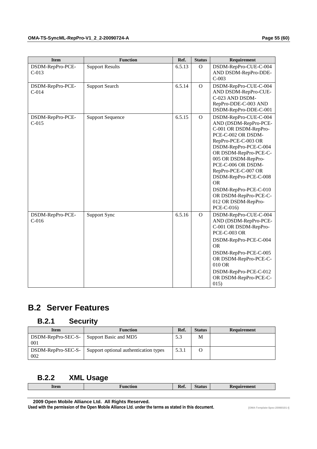| <b>Item</b>                 | <b>Function</b>         | Ref.   | <b>Status</b> | Requirement                                                                                                                                                                                                                                                                                                                                                             |
|-----------------------------|-------------------------|--------|---------------|-------------------------------------------------------------------------------------------------------------------------------------------------------------------------------------------------------------------------------------------------------------------------------------------------------------------------------------------------------------------------|
| DSDM-RepPro-PCE-<br>$C-013$ | <b>Support Results</b>  | 6.5.13 | $\mathbf{O}$  | DSDM-RepPro-CUE-C-004<br>AND DSDM-RepPro-DDE-<br>$C-003$                                                                                                                                                                                                                                                                                                                |
| DSDM-RepPro-PCE-<br>$C-014$ | <b>Support Search</b>   | 6.5.14 | $\mathbf O$   | DSDM-RepPro-CUE-C-004<br>AND DSDM-RepPro-CUE-<br>C-023 AND DSDM-<br>RepPro-DDE-C-003 AND<br>DSDM-RepPro-DDE-C-001                                                                                                                                                                                                                                                       |
| DSDM-RepPro-PCE-<br>$C-015$ | <b>Support Sequence</b> | 6.5.15 | $\mathbf{O}$  | DSDM-RepPro-CUE-C-004<br>AND (DSDM-RepPro-PCE-<br>C-001 OR DSDM-RepPro-<br>PCE-C-002 OR DSDM-<br>RepPro-PCE-C-003 OR<br>DSDM-RepPro-PCE-C-004<br>OR DSDM-RepPro-PCE-C-<br>005 OR DSDM-RepPro-<br>PCE-C-006 OR DSDM-<br>RepPro-PCE-C-007 OR<br>DSDM-RepPro-PCE-C-008<br><b>OR</b><br>DSDM-RepPro-PCE-C-010<br>OR DSDM-RepPro-PCE-C-<br>012 OR DSDM-RepPro-<br>PCE-C-016) |
| DSDM-RepPro-PCE-<br>$C-016$ | Support Sync            | 6.5.16 | $\mathbf{O}$  | DSDM-RepPro-CUE-C-004<br>AND (DSDM-RepPro-PCE-<br>C-001 OR DSDM-RepPro-<br><b>PCE-C-003 OR</b><br>DSDM-RepPro-PCE-C-004<br><b>OR</b><br>DSDM-RepPro-PCE-C-005<br>OR DSDM-RepPro-PCE-C-<br>010 OR<br>DSDM-RepPro-PCE-C-012<br>OR DSDM-RepPro-PCE-C-<br>015)                                                                                                              |

# **B.2 Server Features**

## **B.2.1 Security**

| <b>Item</b>               | <b>Function</b>                       | Ref.  | <b>Status</b> | Requirement |
|---------------------------|---------------------------------------|-------|---------------|-------------|
| DSDM-RepPro-SEC-S-<br>001 | Support Basic and MD5                 | 5.3   | M             |             |
| DSDM-RepPro-SEC-S-<br>002 | Support optional authentication types | 5.3.1 |               |             |

## **B.2.2 XML Usage**

| . .<br><b>Item</b> | tion<br>- -------- | $\sim$<br>. .<br>nei. | tatus<br>$-$ - - - - - - - $-$ | ыц<br>м<br>$- - -$<br>------ |
|--------------------|--------------------|-----------------------|--------------------------------|------------------------------|
|                    |                    |                       |                                |                              |

 **2009 Open Mobile Alliance Ltd. All Rights Reserved.**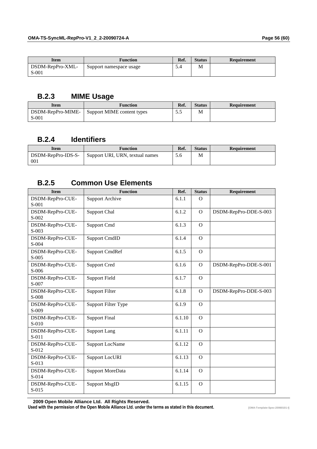| Item                      | <b>Function</b>         | Ref. | <b>Status</b> | Requirement |
|---------------------------|-------------------------|------|---------------|-------------|
| DSDM-RepPro-XML-<br>S-001 | Support namespace usage |      | M             |             |

## **B.2.3 MIME Usage**

| <b>Item</b>                  | <b>Function</b>            | Ref. | <b>Status</b> | Requirement |
|------------------------------|----------------------------|------|---------------|-------------|
| DSDM-RepPro-MIME-<br>$S-001$ | Support MIME content types | ت ر  | M             |             |

## **B.2.4 Identifiers**

| Ítem                      | Function                        | Ref. | <b>Status</b> | Requirement |
|---------------------------|---------------------------------|------|---------------|-------------|
| DSDM-RepPro-IDS-S-<br>001 | Support URI, URN, textual names | 5.6  | М             |             |

## **B.2.5 Common Use Elements**

| <b>Item</b>                 | <b>Function</b>        | Ref.   | <b>Status</b> | Requirement           |
|-----------------------------|------------------------|--------|---------------|-----------------------|
| DSDM-RepPro-CUE-<br>$S-001$ | <b>Support Archive</b> | 6.1.1  | $\Omega$      |                       |
| DSDM-RepPro-CUE-<br>S-002   | <b>Support Chal</b>    | 6.1.2  | $\Omega$      | DSDM-RepPro-DDE-S-003 |
| DSDM-RepPro-CUE-<br>$S-003$ | Support Cmd            | 6.1.3  | $\mathbf{O}$  |                       |
| DSDM-RepPro-CUE-<br>$S-004$ | <b>Support CmdID</b>   | 6.1.4  | $\Omega$      |                       |
| DSDM-RepPro-CUE-<br>$S-005$ | <b>Support CmdRef</b>  | 6.1.5  | $\Omega$      |                       |
| DSDM-RepPro-CUE-<br>$S-006$ | <b>Support Cred</b>    | 6.1.6  | $\mathbf{O}$  | DSDM-RepPro-DDE-S-001 |
| DSDM-RepPro-CUE-<br>S-007   | <b>Support Field</b>   | 6.1.7  | $\Omega$      |                       |
| DSDM-RepPro-CUE-<br>S-008   | <b>Support Filter</b>  | 6.1.8  | $\Omega$      | DSDM-RepPro-DDE-S-003 |
| DSDM-RepPro-CUE-<br>$S-009$ | Support Filter Type    | 6.1.9  | $\Omega$      |                       |
| DSDM-RepPro-CUE-<br>S-010   | <b>Support Final</b>   | 6.1.10 | $\Omega$      |                       |
| DSDM-RepPro-CUE-<br>$S-011$ | <b>Support Lang</b>    | 6.1.11 | $\mathbf{O}$  |                       |
| DSDM-RepPro-CUE-<br>S-012   | <b>Support LocName</b> | 6.1.12 | $\Omega$      |                       |
| DSDM-RepPro-CUE-<br>S-013   | <b>Support LocURI</b>  | 6.1.13 | $\Omega$      |                       |
| DSDM-RepPro-CUE-<br>S-014   | Support MoreData       | 6.1.14 | $\Omega$      |                       |
| DSDM-RepPro-CUE-<br>$S-015$ | <b>Support MsgID</b>   | 6.1.15 | $\Omega$      |                       |

 **2009 Open Mobile Alliance Ltd. All Rights Reserved.**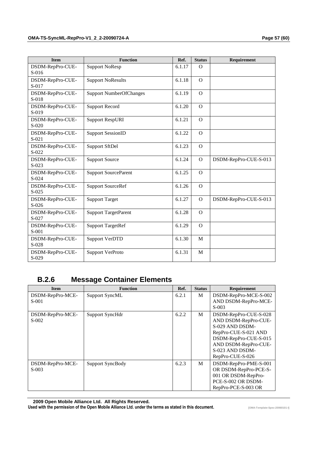| <b>Item</b>                 | <b>Function</b>                | Ref.   | <b>Status</b> | Requirement           |
|-----------------------------|--------------------------------|--------|---------------|-----------------------|
| DSDM-RepPro-CUE-<br>$S-016$ | <b>Support NoResp</b>          | 6.1.17 | $\Omega$      |                       |
| DSDM-RepPro-CUE-<br>S-017   | <b>Support NoResults</b>       | 6.1.18 | $\Omega$      |                       |
| DSDM-RepPro-CUE-<br>S-018   | <b>Support NumberOfChanges</b> | 6.1.19 | $\Omega$      |                       |
| DSDM-RepPro-CUE-<br>S-019   | <b>Support Record</b>          | 6.1.20 | $\Omega$      |                       |
| DSDM-RepPro-CUE-<br>$S-020$ | <b>Support RespURI</b>         | 6.1.21 | $\Omega$      |                       |
| DSDM-RepPro-CUE-<br>$S-021$ | <b>Support SessionID</b>       | 6.1.22 | $\Omega$      |                       |
| DSDM-RepPro-CUE-<br>S-022   | <b>Support SftDel</b>          | 6.1.23 | $\mathbf{O}$  |                       |
| DSDM-RepPro-CUE-<br>$S-023$ | <b>Support Source</b>          | 6.1.24 | $\mathbf{O}$  | DSDM-RepPro-CUE-S-013 |
| DSDM-RepPro-CUE-<br>S-024   | <b>Support SourceParent</b>    | 6.1.25 | $\mathbf{O}$  |                       |
| DSDM-RepPro-CUE-<br>S-025   | <b>Support SourceRef</b>       | 6.1.26 | $\mathbf{O}$  |                       |
| DSDM-RepPro-CUE-<br>S-026   | <b>Support Target</b>          | 6.1.27 | $\Omega$      | DSDM-RepPro-CUE-S-013 |
| DSDM-RepPro-CUE-<br>$S-027$ | <b>Support TargetParent</b>    | 6.1.28 | $\Omega$      |                       |
| DSDM-RepPro-CUE-<br>S-001   | <b>Support TargetRef</b>       | 6.1.29 | $\mathbf{O}$  |                       |
| DSDM-RepPro-CUE-<br>S-028   | <b>Support VerDTD</b>          | 6.1.30 | M             |                       |
| DSDM-RepPro-CUE-<br>S-029   | Support VerProto               | 6.1.31 | M             |                       |

# **B.2.6 Message Container Elements**

| <b>Item</b>                 | <b>Function</b>  | Ref.  | <b>Status</b> | Requirement                                                                                                                                                                      |
|-----------------------------|------------------|-------|---------------|----------------------------------------------------------------------------------------------------------------------------------------------------------------------------------|
| DSDM-RepPro-MCE-<br>$S-001$ | Support SyncML   | 6.2.1 | M             | DSDM-RepPro-MCE-S-002<br>AND DSDM-RepPro-MCE-<br>S-003                                                                                                                           |
| DSDM-RepPro-MCE-<br>$S-002$ | Support SyncHdr  | 6.2.2 | M             | DSDM-RepPro-CUE-S-028<br>AND DSDM-RepPro-CUE-<br>S-029 AND DSDM-<br>RepPro-CUE-S-021 AND<br>DSDM-RepPro-CUE-S-015<br>AND DSDM-RepPro-CUE-<br>S-023 AND DSDM-<br>RepPro-CUE-S-026 |
| DSDM-RepPro-MCE-<br>$S-003$ | Support SyncBody | 6.2.3 | M             | DSDM-RepPro-PME-S-001<br>OR DSDM-RepPro-PCE-S-<br>001 OR DSDM-RepPro-<br>PCE-S-002 OR DSDM-<br>RepPro-PCE-S-003 OR                                                               |

 **2009 Open Mobile Alliance Ltd. All Rights Reserved.**

Used with the permission of the Open Mobile Alliance Ltd. under the terms as stated in this document. *IDMA-Template-Spec-20060101-I***]**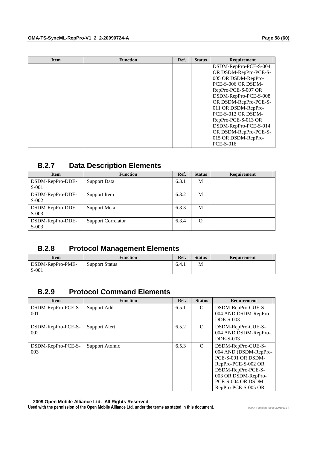| <b>Item</b> | <b>Function</b> | Ref. | <b>Status</b> | Requirement           |
|-------------|-----------------|------|---------------|-----------------------|
|             |                 |      |               | DSDM-RepPro-PCE-S-004 |
|             |                 |      |               | OR DSDM-RepPro-PCE-S- |
|             |                 |      |               | 005 OR DSDM-RepPro-   |
|             |                 |      |               | PCE-S-006 OR DSDM-    |
|             |                 |      |               | RepPro-PCE-S-007 OR   |
|             |                 |      |               | DSDM-RepPro-PCE-S-008 |
|             |                 |      |               | OR DSDM-RepPro-PCE-S- |
|             |                 |      |               | 011 OR DSDM-RepPro-   |
|             |                 |      |               | PCE-S-012 OR DSDM-    |
|             |                 |      |               | RepPro-PCE-S-013 OR   |
|             |                 |      |               | DSDM-RepPro-PCE-S-014 |
|             |                 |      |               | OR DSDM-RepPro-PCE-S- |
|             |                 |      |               | 015 OR DSDM-RepPro-   |
|             |                 |      |               | <b>PCE-S-016</b>      |

## **B.2.7 Data Description Elements**

| <b>Item</b>                 | <b>Function</b>           | Ref.  | <b>Status</b> | <b>Requirement</b> |
|-----------------------------|---------------------------|-------|---------------|--------------------|
| DSDM-RepPro-DDE-<br>$S-001$ | Support Data              | 6.3.1 | M             |                    |
| DSDM-RepPro-DDE-<br>$S-002$ | Support Item              | 6.3.2 | M             |                    |
| DSDM-RepPro-DDE-<br>$S-003$ | Support Meta              | 6.3.3 | M             |                    |
| DSDM-RepPro-DDE-<br>$S-003$ | <b>Support Correlator</b> | 6.3.4 | $\Omega$      |                    |

## **B.2.8 Protocol Management Elements**

| Item                        | Function              | Ref.  | <b>Status</b> | Requirement |
|-----------------------------|-----------------------|-------|---------------|-------------|
| DSDM-RepPro-PME-<br>$S-001$ | <b>Support Status</b> | 6.4.1 | M             |             |

## **B.2.9 Protocol Command Elements**

| <b>Item</b>               | <b>Function</b> | Ref.  | <b>Status</b> | Requirement                                                                                                                                                                        |
|---------------------------|-----------------|-------|---------------|------------------------------------------------------------------------------------------------------------------------------------------------------------------------------------|
| DSDM-RepPro-PCE-S-<br>001 | Support Add     | 6.5.1 | $\Omega$      | DSDM-RepPro-CUE-S-<br>004 AND DSDM-RepPro-                                                                                                                                         |
| DSDM-RepPro-PCE-S-<br>002 | Support Alert   | 6.5.2 | $\Omega$      | DDE-S-003<br>DSDM-RepPro-CUE-S-<br>004 AND DSDM-RepPro-<br>DDE-S-003                                                                                                               |
| DSDM-RepPro-PCE-S-<br>003 | Support Atomic  | 6.5.3 | $\Omega$      | DSDM-RepPro-CUE-S-<br>004 AND (DSDM-RepPro-<br>PCE-S-001 OR DSDM-<br>RepPro-PCE-S-002 OR<br>DSDM-RepPro-PCE-S-<br>003 OR DSDM-RepPro-<br>PCE-S-004 OR DSDM-<br>RepPro-PCE-S-005 OR |

 **2009 Open Mobile Alliance Ltd. All Rights Reserved.**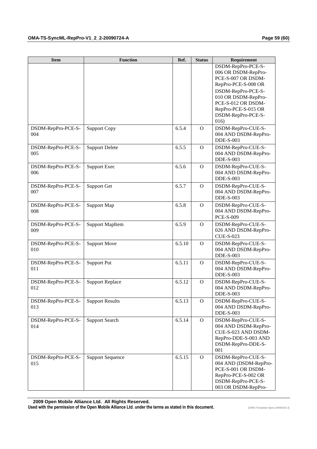| <b>Item</b>               | <b>Function</b>         | Ref.   | <b>Status</b> | Requirement                                |
|---------------------------|-------------------------|--------|---------------|--------------------------------------------|
|                           |                         |        |               | DSDM-RepPro-PCE-S-<br>006 OR DSDM-RepPro-  |
|                           |                         |        |               | PCE-S-007 OR DSDM-                         |
|                           |                         |        |               | RepPro-PCE-S-008 OR                        |
|                           |                         |        |               | DSDM-RepPro-PCE-S-                         |
|                           |                         |        |               | 010 OR DSDM-RepPro-                        |
|                           |                         |        |               | PCE-S-012 OR DSDM-<br>RepPro-PCE-S-015 OR  |
|                           |                         |        |               | DSDM-RepPro-PCE-S-                         |
|                           |                         |        |               | 016)                                       |
| DSDM-RepPro-PCE-S-        | <b>Support Copy</b>     | 6.5.4  | $\Omega$      | DSDM-RepPro-CUE-S-                         |
| 004                       |                         |        |               | 004 AND DSDM-RepPro-                       |
|                           |                         |        |               | $DDE-S-003$                                |
| DSDM-RepPro-PCE-S-        | <b>Support Delete</b>   | 6.5.5  | $\Omega$      | DSDM-RepPro-CUE-S-                         |
| 005                       |                         |        |               | 004 AND DSDM-RepPro-<br>$DDE-S-003$        |
| DSDM-RepPro-PCE-S-        | <b>Support Exec</b>     | 6.5.6  | $\Omega$      | DSDM-RepPro-CUE-S-                         |
| 006                       |                         |        |               | 004 AND DSDM-RepPro-                       |
|                           |                         |        |               | $DDE-S-003$                                |
| DSDM-RepPro-PCE-S-        | Support Get             | 6.5.7  | $\Omega$      | DSDM-RepPro-CUE-S-                         |
| 007                       |                         |        |               | 004 AND DSDM-RepPro-                       |
|                           |                         | 6.5.8  |               | $DDE-S-003$                                |
| DSDM-RepPro-PCE-S-<br>008 | Support Map             |        | $\mathbf{O}$  | DSDM-RepPro-CUE-S-<br>004 AND DSDM-RepPro- |
|                           |                         |        |               | <b>PCE-S-009</b>                           |
| DSDM-RepPro-PCE-S-        | <b>Support MapItem</b>  | 6.5.9  | $\mathbf{O}$  | DSDM-RepPro-CUE-S-                         |
| 009                       |                         |        |               | 026 AND DSDM-RepPro-                       |
|                           |                         |        |               | <b>CUE-S-023</b>                           |
| DSDM-RepPro-PCE-S-        | <b>Support Move</b>     | 6.5.10 | $\mathbf{O}$  | DSDM-RepPro-CUE-S-                         |
| 010                       |                         |        |               | 004 AND DSDM-RepPro-<br><b>DDE-S-003</b>   |
| DSDM-RepPro-PCE-S-        | <b>Support Put</b>      | 6.5.11 | $\mathbf{O}$  | DSDM-RepPro-CUE-S-                         |
| 011                       |                         |        |               | 004 AND DSDM-RepPro-                       |
|                           |                         |        |               | <b>DDE-S-003</b>                           |
| DSDM-RepPro-PCE-S-        | <b>Support Replace</b>  | 6.5.12 | $\Omega$      | DSDM-RepPro-CUE-S-                         |
| 012                       |                         |        |               | 004 AND DSDM-RepPro-<br><b>DDE-S-003</b>   |
| DSDM-RepPro-PCE-S-        | <b>Support Results</b>  | 6.5.13 | $\mathbf{O}$  | DSDM-RepPro-CUE-S-                         |
| 013                       |                         |        |               | 004 AND DSDM-RepPro-                       |
|                           |                         |        |               | <b>DDE-S-003</b>                           |
| DSDM-RepPro-PCE-S-        | <b>Support Search</b>   | 6.5.14 | $\mathbf{O}$  | DSDM-RepPro-CUE-S-                         |
| 014                       |                         |        |               | 004 AND DSDM-RepPro-                       |
|                           |                         |        |               | CUE-S-023 AND DSDM-                        |
|                           |                         |        |               | RepPro-DDE-S-003 AND<br>DSDM-RepPro-DDE-S- |
|                           |                         |        |               | 001                                        |
| DSDM-RepPro-PCE-S-        | <b>Support Sequence</b> | 6.5.15 | $\Omega$      | DSDM-RepPro-CUE-S-                         |
| 015                       |                         |        |               | 004 AND (DSDM-RepPro-                      |
|                           |                         |        |               | PCE-S-001 OR DSDM-                         |
|                           |                         |        |               | RepPro-PCE-S-002 OR<br>DSDM-RepPro-PCE-S-  |
|                           |                         |        |               | 003 OR DSDM-RepPro-                        |

 **2009 Open Mobile Alliance Ltd. All Rights Reserved.**

Used with the permission of the Open Mobile Alliance Ltd. under the terms as stated in this document. *IDMA-Template-Spec-20060101-I***]**